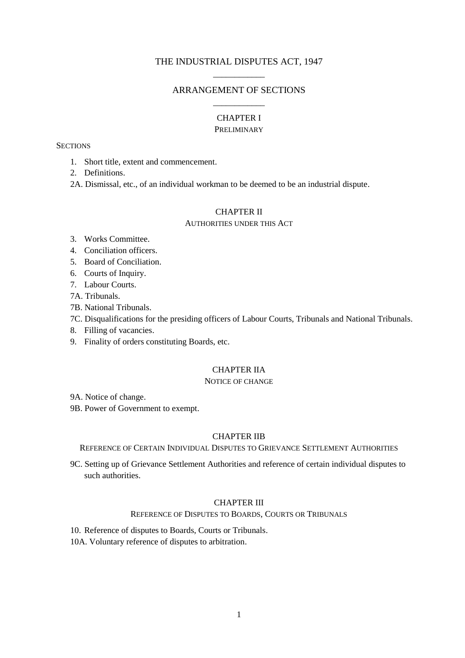# THE INDUSTRIAL DISPUTES ACT, 1947 \_\_\_\_\_\_\_\_\_\_\_\_

# ARRANGEMENT OF SECTIONS \_\_\_\_\_\_\_\_\_\_\_\_

### CHAPTER I

#### PRELIMINARY

### **SECTIONS**

- 1. Short title, extent and commencement.
- 2. Definitions.
- 2A. Dismissal, etc., of an individual workman to be deemed to be an industrial dispute.

### CHAPTER II

### AUTHORITIES UNDER THIS ACT

- 3. Works Committee.
- 4. Conciliation officers.
- 5. Board of Conciliation.
- 6. Courts of Inquiry.
- 7. Labour Courts.
- 7A. Tribunals.
- 7B. National Tribunals.
- 7C. Disqualifications for the presiding officers of Labour Courts, Tribunals and National Tribunals.
- 8. Filling of vacancies.
- 9. Finality of orders constituting Boards, etc.

## CHAPTER IIA

### NOTICE OF CHANGE

- 9A. Notice of change.
- 9B. Power of Government to exempt.

#### CHAPTER IIB

## REFERENCE OF CERTAIN INDIVIDUAL DISPUTES TO GRIEVANCE SETTLEMENT AUTHORITIES

9C. Setting up of Grievance Settlement Authorities and reference of certain individual disputes to such authorities.

## CHAPTER III

### REFERENCE OF DISPUTES TO BOARDS, COURTS OR TRIBUNALS

- 10. Reference of disputes to Boards, Courts or Tribunals.
- 10A. Voluntary reference of disputes to arbitration.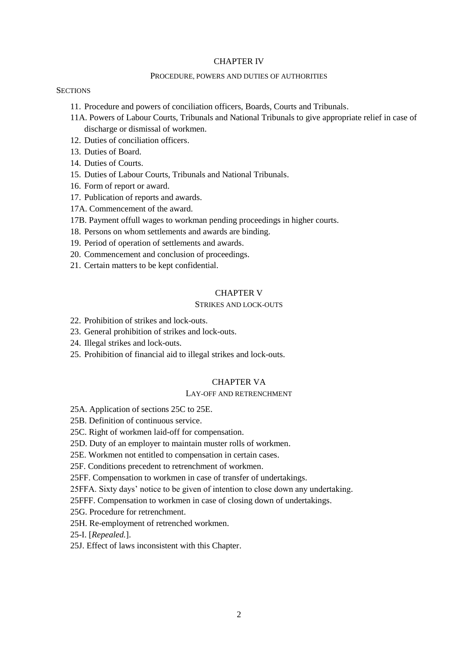#### CHAPTER IV

### PROCEDURE, POWERS AND DUTIES OF AUTHORITIES

## **SECTIONS**

- 11. Procedure and powers of conciliation officers, Boards, Courts and Tribunals.
- 11A. Powers of Labour Courts, Tribunals and National Tribunals to give appropriate relief in case of discharge or dismissal of workmen.
- 12. Duties of conciliation officers.
- 13. Duties of Board.
- 14. Duties of Courts.
- 15. Duties of Labour Courts, Tribunals and National Tribunals.
- 16. Form of report or award.
- 17. Publication of reports and awards.
- 17A. Commencement of the award.
- 17B. Payment offull wages to workman pending proceedings in higher courts.
- 18. Persons on whom settlements and awards are binding.
- 19. Period of operation of settlements and awards.
- 20. Commencement and conclusion of proceedings.
- 21. Certain matters to be kept confidential.

### CHAPTER V

### STRIKES AND LOCK-OUTS

- 22. Prohibition of strikes and lock-outs.
- 23. General prohibition of strikes and lock-outs.
- 24. Illegal strikes and lock-outs.
- 25. Prohibition of financial aid to illegal strikes and lock-outs.

### CHAPTER VA

### LAY-OFF AND RETRENCHMENT

- 25A. Application of sections 25C to 25E.
- 25B. Definition of continuous service.
- 25C. Right of workmen laid-off for compensation.
- 25D. Duty of an employer to maintain muster rolls of workmen.
- 25E. Workmen not entitled to compensation in certain cases.
- 25F. Conditions precedent to retrenchment of workmen.
- 25FF. Compensation to workmen in case of transfer of undertakings.
- 25FFA. Sixty days' notice to be given of intention to close down any undertaking.
- 25FFF. Compensation to workmen in case of closing down of undertakings.
- 25G. Procedure for retrenchment.
- 25H. Re-employment of retrenched workmen.

25-I. [*Repealed.*].

### 25J. Effect of laws inconsistent with this Chapter.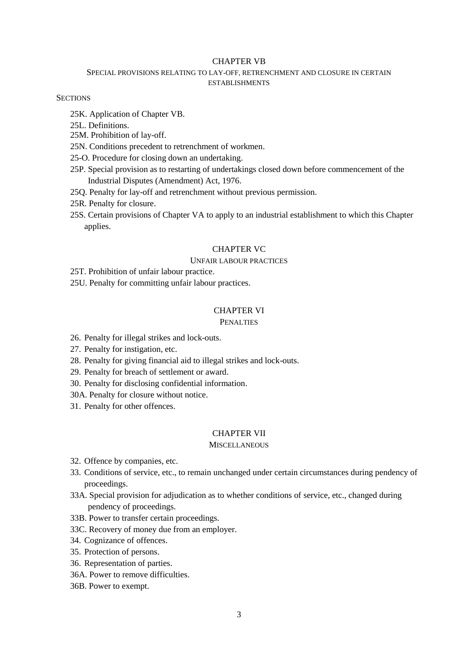### CHAPTER VB

## SPECIAL PROVISIONS RELATING TO LAY-OFF, RETRENCHMENT AND CLOSURE IN CERTAIN ESTABLISHMENTS

# **SECTIONS**

- 25K. Application of Chapter VB.
- 25L. Definitions.
- 25M. Prohibition of lay-off.
- 25N. Conditions precedent to retrenchment of workmen.
- 25-O. Procedure for closing down an undertaking.
- 25P. Special provision as to restarting of undertakings closed down before commencement of the Industrial Disputes (Amendment) Act, 1976.
- 25Q. Penalty for lay-off and retrenchment without previous permission.
- 25R. Penalty for closure.
- 25S. Certain provisions of Chapter VA to apply to an industrial establishment to which this Chapter applies.

### CHAPTER VC

### UNFAIR LABOUR PRACTICES

25T. Prohibition of unfair labour practice.

25U. Penalty for committing unfair labour practices.

## CHAPTER VI

### **PENALTIES**

- 26. Penalty for illegal strikes and lock-outs.
- 27. Penalty for instigation, etc.
- 28. Penalty for giving financial aid to illegal strikes and lock-outs.
- 29. Penalty for breach of settlement or award.
- 30. Penalty for disclosing confidential information.
- 30A. Penalty for closure without notice.
- 31. Penalty for other offences.

## CHAPTER VII

#### **MISCELLANEOUS**

- 32. Offence by companies, etc.
- 33. Conditions of service, etc., to remain unchanged under certain circumstances during pendency of proceedings.
- 33A. Special provision for adjudication as to whether conditions of service, etc., changed during pendency of proceedings.
- 33B. Power to transfer certain proceedings.
- 33C. Recovery of money due from an employer.
- 34. Cognizance of offences.
- 35. Protection of persons.
- 36. Representation of parties.
- 36A. Power to remove difficulties.
- 36B. Power to exempt.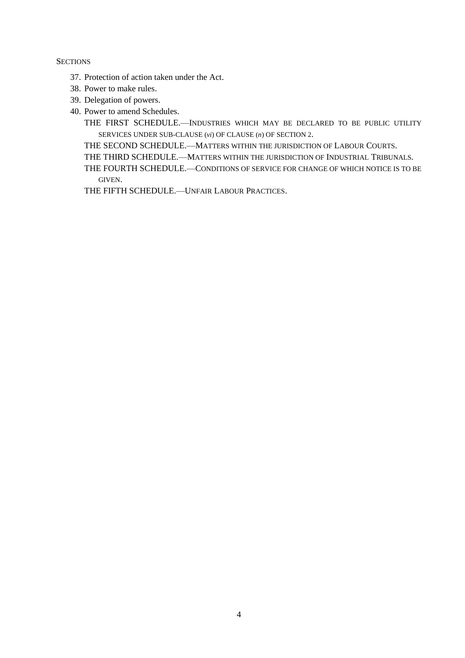### **SECTIONS**

- 37. Protection of action taken under the Act.
- 38. Power to make rules.
- 39. Delegation of powers.
- 40. Power to amend Schedules.
	- THE FIRST SCHEDULE.—INDUSTRIES WHICH MAY BE DECLARED TO BE PUBLIC UTILITY SERVICES UNDER SUB-CLAUSE (*vi*) OF CLAUSE (*n*) OF SECTION 2.

THE SECOND SCHEDULE.—MATTERS WITHIN THE JURISDICTION OF LABOUR COURTS.

THE THIRD SCHEDULE.—MATTERS WITHIN THE JURISDICTION OF INDUSTRIAL TRIBUNALS.

THE FOURTH SCHEDULE.—CONDITIONS OF SERVICE FOR CHANGE OF WHICH NOTICE IS TO BE GIVEN.

THE FIFTH SCHEDULE.—UNFAIR LABOUR PRACTICES.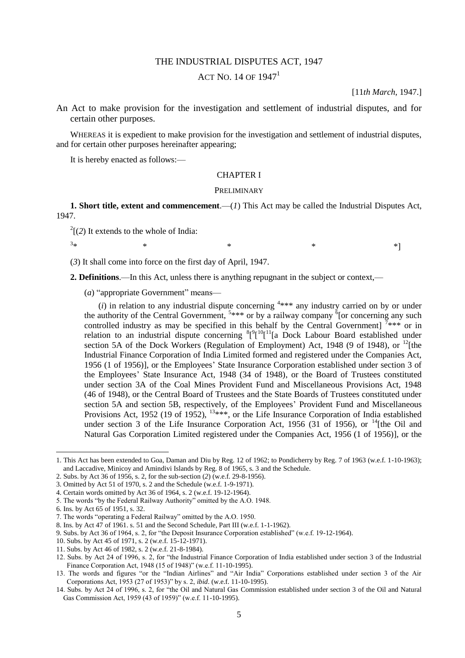#### THE INDUSTRIAL DISPUTES ACT, 1947

# ACT NO. 14 OF  $1947<sup>1</sup>$

[11*th March*, 1947.]

An Act to make provision for the investigation and settlement of industrial disputes, and for certain other purposes.

WHEREAS it is expedient to make provision for the investigation and settlement of industrial disputes, and for certain other purposes hereinafter appearing;

It is hereby enacted as follows:—

#### CHAPTER I

#### PRELIMINARY

**1. Short title, extent and commencement**.—(*1*) This Act may be called the Industrial Disputes Act, 1947.

 $2(2)$  It extends to the whole of India:

 $3*$  $*$   $*$   $*$   $*$   $*$   $*$   $*$ 

(*3*) It shall come into force on the first day of April, 1947.

**2. Definitions**.—In this Act, unless there is anything repugnant in the subject or context,—

(*a*) "appropriate Government" means—

 $(i)$  in relation to any industrial dispute concerning  $4***$  any industry carried on by or under the authority of the Central Government,  $5***$  or by a railway company  $6$  [or concerning any such controlled industry as may be specified in this behalf by the Central Government]  $\frac{7***}{}$  or in relation to an industrial dispute concerning  ${}^{8}[^{9}[^{10}[^{11}][a]$  Dock Labour Board established under section 5A of the Dock Workers (Regulation of Employment) Act, 1948 (9 of 1948), or  $^{12}$ [the Industrial Finance Corporation of India Limited formed and registered under the Companies Act, 1956 (1 of 1956)], or the Employees' State Insurance Corporation established under section 3 of the Employees' State Insurance Act, 1948 (34 of 1948), or the Board of Trustees constituted under section 3A of the Coal Mines Provident Fund and Miscellaneous Provisions Act, 1948 (46 of 1948), or the Central Board of Trustees and the State Boards of Trustees constituted under section 5A and section 5B, respectively, of the Employees' Provident Fund and Miscellaneous Provisions Act, 1952 (19 of 1952),  $13***$ , or the Life Insurance Corporation of India established under section 3 of the Life Insurance Corporation Act, 1956 (31 of 1956), or  $14$  [the Oil and Natural Gas Corporation Limited registered under the Companies Act, 1956 (1 of 1956)], or the

<sup>1.</sup> This Act has been extended to Goa, Daman and Diu by Reg. 12 of 1962; to Pondicherry by Reg. 7 of 1963 (w.e.f. 1-10-1963); and Laccadive, Minicoy and Amindivi Islands by Reg. 8 of 1965, s. 3 and the Schedule.

<sup>2.</sup> Subs. by Act 36 of 1956, s. 2, for the sub-section (*2*) (w.e.f. 29-8-1956).

<sup>3.</sup> Omitted by Act 51 of 1970, s. 2 and the Schedule (w.e.f. 1-9-1971). 4. Certain words omitted by Act 36 of 1964, s. 2 (w.e.f. 19-12-1964).

<sup>5.</sup> The words "by the Federal Railway Authority" omitted by the A.O. 1948.

<sup>6.</sup> Ins. by Act 65 of 1951, s. 32.

<sup>7.</sup> The words "operating a Federal Railway" omitted by the A.O. 1950.

<sup>8.</sup> Ins. by Act 47 of 1961. s. 51 and the Second Schedule, Part III (w.e.f. 1-1-1962).

<sup>9.</sup> Subs. by Act 36 of 1964, s. 2, for "the Deposit Insurance Corporation established" (w.e.f. 19-12-1964).

<sup>10.</sup> Subs. by Act 45 of 1971, s. 2 (w.e.f. 15-12-1971).

<sup>11.</sup> Subs. by Act 46 of 1982, s. 2 (w.e.f. 21-8-1984).

<sup>12.</sup> Subs. by Act 24 of 1996, s. 2, for "the Industrial Finance Corporation of India established under section 3 of the Industrial Finance Corporation Act, 1948 (15 of 1948)" (w.e.f. 11-10-1995).

<sup>13.</sup> The words and figures "or the "Indian Airlines" and "Air India" Corporations established under section 3 of the Air Corporations Act, 1953 (27 of 1953)" by s. 2, *ibid*. (w.e.f. 11-10-1995).

<sup>14.</sup> Subs. by Act 24 of 1996, s. 2, for "the Oil and Natural Gas Commission established under section 3 of the Oil and Natural Gas Commission Act, 1959 (43 of 1959)" (w.e.f. 11-10-1995).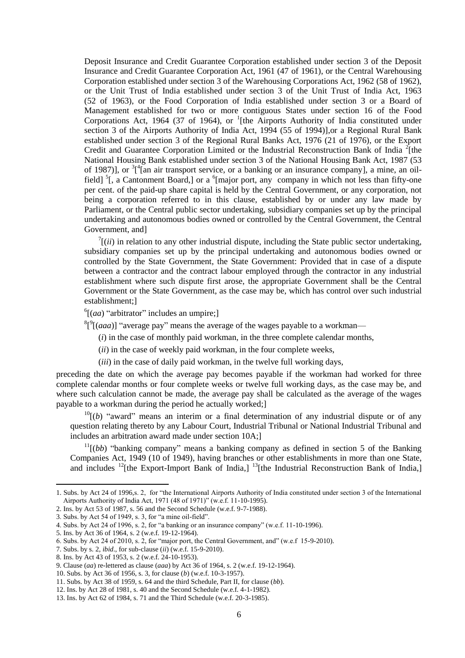Deposit Insurance and Credit Guarantee Corporation established under section 3 of the Deposit Insurance and Credit Guarantee Corporation Act, 1961 (47 of 1961), or the Central Warehousing Corporation established under section 3 of the Warehousing Corporations Act, 1962 (58 of 1962), or the Unit Trust of India established under section 3 of the Unit Trust of India Act, 1963 (52 of 1963), or the Food Corporation of India established under section 3 or a Board of Management established for two or more contiguous States under section 16 of the Food Corporations Act, 1964 (37 of 1964), or  ${}^{1}$ [the Airports Authority of India constituted under section 3 of the Airports Authority of India Act, 1994 (55 of 1994)],or a Regional Rural Bank established under section 3 of the Regional Rural Banks Act, 1976 (21 of 1976), or the Export Credit and Guarantee Corporation Limited or the Industrial Reconstruction Bank of India<sup>2</sup>[the National Housing Bank established under section 3 of the National Housing Bank Act, 1987 (53 of 1987)], or  $3^{4}$ [an air transport service, or a banking or an insurance company], a mine, an oilfield]  ${}^{5}$ [, a Cantonment Board,] or a  ${}^{6}$ [major port, any company in which not less than fifty-one per cent. of the paid-up share capital is held by the Central Government, or any corporation, not being a corporation referred to in this clause, established by or under any law made by Parliament, or the Central public sector undertaking, subsidiary companies set up by the principal undertaking and autonomous bodies owned or controlled by the Central Government, the Central Government, and]

 $\int$ <sup>7</sup>[(*ii*) in relation to any other industrial dispute, including the State public sector undertaking, subsidiary companies set up by the principal undertaking and autonomous bodies owned or controlled by the State Government, the State Government: Provided that in case of a dispute between a contractor and the contract labour employed through the contractor in any industrial establishment where such dispute first arose, the appropriate Government shall be the Central Government or the State Government, as the case may be, which has control over such industrial establishment;]

<sup>6</sup>[(*aa*) "arbitrator" includes an umpire;]

 ${}^{8}$ [ ${}^{9}$ [(*aaa*)] "average pay" means the average of the wages payable to a workman—

(*i*) in the case of monthly paid workman, in the three complete calendar months,

(*ii*) in the case of weekly paid workman, in the four complete weeks,

(*iii*) in the case of daily paid workman, in the twelve full working days,

preceding the date on which the average pay becomes payable if the workman had worked for three complete calendar months or four complete weeks or twelve full working days, as the case may be, and where such calculation cannot be made, the average pay shall be calculated as the average of the wages payable to a workman during the period he actually worked;]

 $10$ <sup>[</sup>(*b*) "award" means an interim or a final determination of any industrial dispute or of any question relating thereto by any Labour Court, Industrial Tribunal or National Industrial Tribunal and includes an arbitration award made under section 10A;]

 $11[(bb)$  "banking company" means a banking company as defined in section 5 of the Banking Companies Act, 1949 (10 of 1949), having branches or other establishments in more than one State, and includes <sup>12</sup>[the Export-Import Bank of India,] <sup>13</sup>[the Industrial Reconstruction Bank of India,]

<sup>1.</sup> Subs. by Act 24 of 1996,s. 2, for "the International Airports Authority of India constituted under section 3 of the International Airports Authority of India Act, 1971 (48 of 1971)" (w.e.f. 11-10-1995).

<sup>2.</sup> Ins. by Act 53 of 1987, s. 56 and the Second Schedule (w.e.f. 9-7-1988).

<sup>3.</sup> Subs. by Act 54 of 1949, s. 3, for "a mine oil-field".

<sup>4.</sup> Subs. by Act 24 of 1996, s. 2, for "a banking or an insurance company" (w.e.f. 11-10-1996).

<sup>5.</sup> Ins. by Act 36 of 1964, s. 2 (w.e.f. 19-12-1964).

<sup>6.</sup> Subs. by Act 24 of 2010, s. 2, for "major port, the Central Government, and" (w.e.f 15-9-2010).

<sup>7.</sup> Subs. by s. 2, *ibid*., for sub-clause (*ii*) (w.e.f. 15-9-2010).

<sup>8.</sup> Ins. by Act 43 of 1953, s. 2 (w.e.f. 24-10-1953).

<sup>9.</sup> Clause (*aa*) re-lettered as clause (*aaa*) by Act 36 of 1964, s. 2 (w.e.f. 19-12-1964).

<sup>10.</sup> Subs. by Act 36 of 1956, s. 3, for clause (*b*) (w.e.f. 10-3-1957).

<sup>11.</sup> Subs. by Act 38 of 1959, s. 64 and the third Schedule, Part II, for clause (*bb*).

<sup>12.</sup> Ins. by Act 28 of 1981, s. 40 and the Second Schedule (w.e.f. 4-1-1982).

<sup>13.</sup> Ins. by Act 62 of 1984, s. 71 and the Third Schedule (w.e.f. 20-3-1985).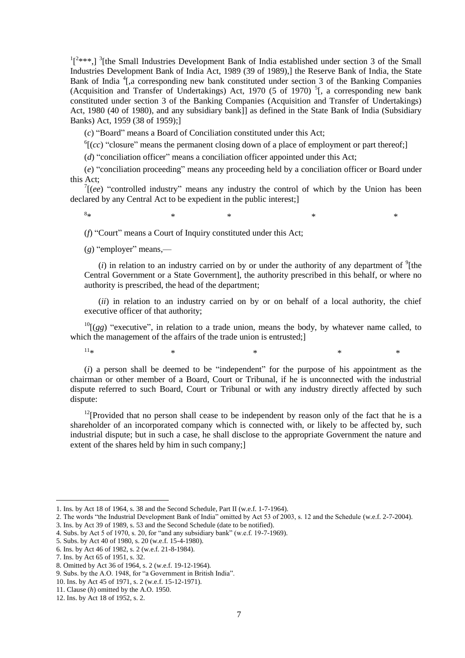$1<sup>1</sup>$ <sup>2</sup>\*\*\*,] <sup>3</sup>[the Small Industries Development Bank of India established under section 3 of the Small Industries Development Bank of India Act, 1989 (39 of 1989),] the Reserve Bank of India, the State Bank of India <sup>4</sup>[,a corresponding new bank constituted under section 3 of the Banking Companies (Acquisition and Transfer of Undertakings) Act, 1970 (5 of 1970)<sup>5</sup>[, a corresponding new bank constituted under section 3 of the Banking Companies (Acquisition and Transfer of Undertakings) Act, 1980 (40 of 1980), and any subsidiary bank]] as defined in the State Bank of India (Subsidiary Banks) Act, 1959 (38 of 1959);]

(*c*) "Board" means a Board of Conciliation constituted under this Act;

 $^{6}$ [(*cc*) "closure" means the permanent closing down of a place of employment or part thereof;]

(*d*) "conciliation officer" means a conciliation officer appointed under this Act;

(*e*) "conciliation proceeding" means any proceeding held by a conciliation officer or Board under this Act;

 $T(ee)$  "controlled industry" means any industry the control of which by the Union has been declared by any Central Act to be expedient in the public interest;]

 $8*$ 

 $*$  \*  $*$  \*  $*$  \*  $*$ 

(*f*) "Court" means a Court of Inquiry constituted under this Act;

(*g*) "employer" means,—

 $(i)$  in relation to an industry carried on by or under the authority of any department of  $^9$ [the Central Government or a State Government], the authority prescribed in this behalf, or where no authority is prescribed, the head of the department;

(*ii*) in relation to an industry carried on by or on behalf of a local authority, the chief executive officer of that authority;

 $^{10}$ [(*gg*) "executive", in relation to a trade union, means the body, by whatever name called, to which the management of the affairs of the trade union is entrusted;

 $11*$  \* \* \* \* \*

(*i*) a person shall be deemed to be "independent" for the purpose of his appointment as the chairman or other member of a Board, Court or Tribunal, if he is unconnected with the industrial dispute referred to such Board, Court or Tribunal or with any industry directly affected by such dispute:

 $12$ [Provided that no person shall cease to be independent by reason only of the fact that he is a shareholder of an incorporated company which is connected with, or likely to be affected by, such industrial dispute; but in such a case, he shall disclose to the appropriate Government the nature and extent of the shares held by him in such company;]

<sup>1.</sup> Ins. by Act 18 of 1964, s. 38 and the Second Schedule, Part II (w.e.f. 1-7-1964).

<sup>2.</sup> The words "the Industrial Development Bank of India" omitted by Act 53 of 2003, s. 12 and the Schedule (w.e.f. 2-7-2004).

<sup>3.</sup> Ins. by Act 39 of 1989, s. 53 and the Second Schedule (date to be notified).

<sup>4.</sup> Subs. by Act 5 of 1970, s. 20, for "and any subsidiary bank" (w.e.f. 19-7-1969).

<sup>5.</sup> Subs. by Act 40 of 1980, s. 20 (w.e.f. 15-4-1980).

<sup>6.</sup> Ins. by Act 46 of 1982, s. 2 (w.e.f. 21-8-1984).

<sup>7.</sup> Ins. by Act 65 of 1951, s. 32.

<sup>8.</sup> Omitted by Act 36 of 1964, s. 2 (w.e.f. 19-12-1964).

<sup>9.</sup> Subs. by the A.O. 1948, for "a Government in British India".

<sup>10.</sup> Ins. by Act 45 of 1971, s. 2 (w.e.f. 15-12-1971).

<sup>11.</sup> Clause (*h*) omitted by the A.O. 1950.

<sup>12.</sup> Ins. by Act 18 of 1952, s. 2.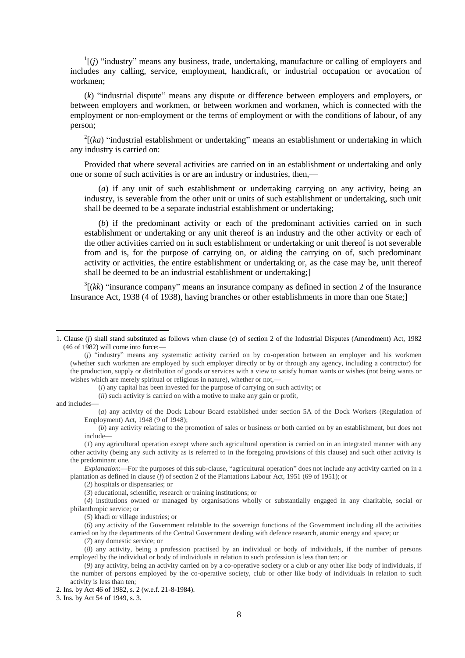$\frac{1}{j}$  "industry" means any business, trade, undertaking, manufacture or calling of employers and includes any calling, service, employment, handicraft, or industrial occupation or avocation of workmen;

(*k*) "industrial dispute" means any dispute or difference between employers and employers, or between employers and workmen, or between workmen and workmen, which is connected with the employment or non-employment or the terms of employment or with the conditions of labour, of any person;

 $2\left[$ (*ka*) "industrial establishment or undertaking" means an establishment or undertaking in which any industry is carried on:

Provided that where several activities are carried on in an establishment or undertaking and only one or some of such activities is or are an industry or industries, then,—

(*a*) if any unit of such establishment or undertaking carrying on any activity, being an industry, is severable from the other unit or units of such establishment or undertaking, such unit shall be deemed to be a separate industrial establishment or undertaking;

(*b*) if the predominant activity or each of the predominant activities carried on in such establishment or undertaking or any unit thereof is an industry and the other activity or each of the other activities carried on in such establishment or undertaking or unit thereof is not severable from and is, for the purpose of carrying on, or aiding the carrying on of, such predominant activity or activities, the entire establishment or undertaking or, as the case may be, unit thereof shall be deemed to be an industrial establishment or undertaking;]

 $3[(kk)$  "insurance company" means an insurance company as defined in section 2 of the Insurance Insurance Act, 1938 (4 of 1938), having branches or other establishments in more than one State;]

#### and includes—

1

(*a*) any activity of the Dock Labour Board established under section 5A of the Dock Workers (Regulation of Employment) Act, 1948 (9 of 1948);

(*b*) any activity relating to the promotion of sales or business or both carried on by an establishment, but does not include—

*Explanation*:—For the purposes of this sub-clause, "agricultural operation" does not include any activity carried on in a plantation as defined in clause (*f*) of section 2 of the Plantations Labour Act, 1951 (69 of 1951); or

(*2*) hospitals or dispensaries; or

(*3*) educational, scientific, research or training institutions; or

(*5*) khadi or village industries; or

(*6*) any activity of the Government relatable to the sovereign functions of the Government including all the activities carried on by the departments of the Central Government dealing with defence research, atomic energy and space; or

(*7*) any domestic service; or

<sup>1.</sup> Clause (*j*) shall stand substituted as follows when clause (*c*) of section 2 of the Industrial Disputes (Amendment) Act, 1982 (46 of 1982) will come into force:—

<sup>(</sup>*j*) "industry" means any systematic activity carried on by co-operation between an employer and his workmen (whether such workmen are employed by such employer directly or by or through any agency, including a contractor) for the production, supply or distribution of goods or services with a view to satisfy human wants or wishes (not being wants or wishes which are merely spiritual or religious in nature), whether or not,—

<sup>(</sup>*i*) any capital has been invested for the purpose of carrying on such activity; or

<sup>(</sup>*ii*) such activity is carried on with a motive to make any gain or profit,

<sup>(</sup>*1*) any agricultural operation except where such agricultural operation is carried on in an integrated manner with any other activity (being any such activity as is referred to in the foregoing provisions of this clause) and such other activity is the predominant one.

<sup>(</sup>*4*) institutions owned or managed by organisations wholly or substantially engaged in any charitable, social or philanthropic service; or

<sup>(</sup>*8*) any activity, being a profession practised by an individual or body of individuals, if the number of persons employed by the individual or body of individuals in relation to such profession is less than ten; or

<sup>(</sup>*9*) any activity, being an activity carried on by a co-operative society or a club or any other like body of individuals, if the number of persons employed by the co-operative society, club or other like body of individuals in relation to such activity is less than ten;

<sup>2.</sup> Ins. by Act 46 of 1982, s. 2 (w.e.f. 21-8-1984).

<sup>3.</sup> Ins. by Act 54 of 1949, s. 3.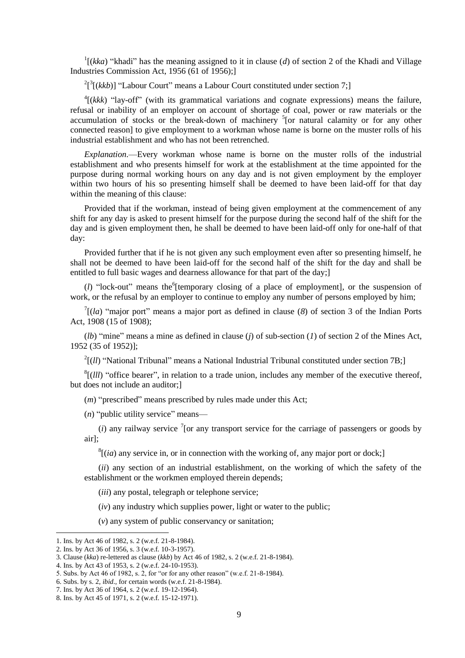$\int$ <sup>1</sup>[(*kka*) "khadi" has the meaning assigned to it in clause (*d*) of section 2 of the Khadi and Village Industries Commission Act, 1956 (61 of 1956);]

 $^{2}$ [<sup>3</sup>[(*kkb*)] "Labour Court" means a Labour Court constituted under section 7;]

 $^{4}$ [(kkk) "lay-off" (with its grammatical variations and cognate expressions) means the failure, refusal or inability of an employer on account of shortage of coal, power or raw materials or the accumulation of stocks or the break-down of machinery <sup>5</sup>[or natural calamity or for any other connected reason] to give employment to a workman whose name is borne on the muster rolls of his industrial establishment and who has not been retrenched.

*Explanation*.—Every workman whose name is borne on the muster rolls of the industrial establishment and who presents himself for work at the establishment at the time appointed for the purpose during normal working hours on any day and is not given employment by the employer within two hours of his so presenting himself shall be deemed to have been laid-off for that day within the meaning of this clause:

Provided that if the workman, instead of being given employment at the commencement of any shift for any day is asked to present himself for the purpose during the second half of the shift for the day and is given employment then, he shall be deemed to have been laid-off only for one-half of that day:

Provided further that if he is not given any such employment even after so presenting himself, he shall not be deemed to have been laid-off for the second half of the shift for the day and shall be entitled to full basic wages and dearness allowance for that part of the day;]

 $(l)$  "lock-out" means the<sup>6</sup> [temporary closing of a place of employment], or the suspension of work, or the refusal by an employer to continue to employ any number of persons employed by him;

 $T[(la)$  "major port" means a major port as defined in clause (8) of section 3 of the Indian Ports Act, 1908 (15 of 1908);

(*lb*) "mine" means a mine as defined in clause (*j*) of sub-section (*1*) of section 2 of the Mines Act, 1952 (35 of 1952)];

<sup>2</sup>[(*ll*) "National Tribunal" means a National Industrial Tribunal constituted under section 7B;]

 ${}^{8}$ [(*lll*) "office bearer", in relation to a trade union, includes any member of the executive thereof, but does not include an auditor;]

(*m*) "prescribed" means prescribed by rules made under this Act;

(*n*) "public utility service" means—

 $(i)$  any railway service  $\frac{7}{2}$  [or any transport service for the carriage of passengers or goods by air];

 $^8$ [(*ia*) any service in, or in connection with the working of, any major port or dock;]

(*ii*) any section of an industrial establishment, on the working of which the safety of the establishment or the workmen employed therein depends;

(*iii*) any postal, telegraph or telephone service;

(*iv*) any industry which supplies power, light or water to the public;

(*v*) any system of public conservancy or sanitation;

 $\overline{a}$ 

<sup>1.</sup> Ins. by Act 46 of 1982, s. 2 (w.e.f. 21-8-1984).

<sup>2.</sup> Ins. by Act 36 of 1956, s. 3 (w.e.f. 10-3-1957).

<sup>3.</sup> Clause (*kka*) re-lettered as clause (*kkb*) by Act 46 of 1982, s. 2 (w.e.f. 21-8-1984).

<sup>4.</sup> Ins. by Act 43 of 1953, s. 2 (w.e.f. 24-10-1953).

<sup>5.</sup> Subs. by Act 46 of 1982, s. 2, for "or for any other reason" (w.e.f. 21-8-1984).

<sup>6.</sup> Subs. by s. 2, *ibid*., for certain words (w.e.f. 21-8-1984).

<sup>7.</sup> Ins. by Act 36 of 1964, s. 2 (w.e.f. 19-12-1964).

<sup>8.</sup> Ins. by Act 45 of 1971, s. 2 (w.e.f. 15-12-1971).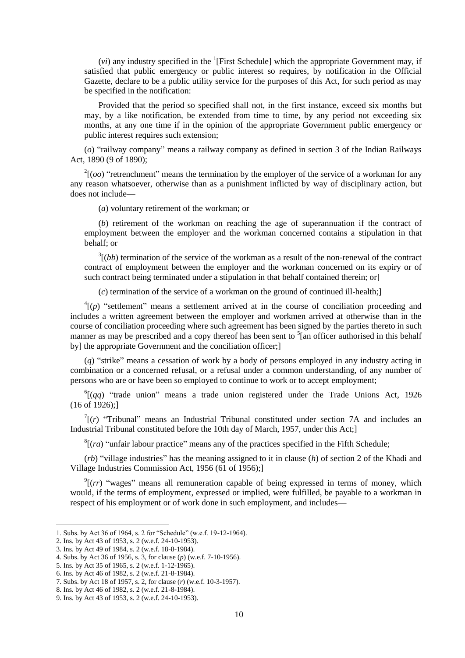$(vi)$  any industry specified in the <sup>1</sup>[First Schedule] which the appropriate Government may, if satisfied that public emergency or public interest so requires, by notification in the Official Gazette, declare to be a public utility service for the purposes of this Act, for such period as may be specified in the notification:

Provided that the period so specified shall not, in the first instance, exceed six months but may, by a like notification, be extended from time to time, by any period not exceeding six months, at any one time if in the opinion of the appropriate Government public emergency or public interest requires such extension;

(*o*) "railway company" means a railway company as defined in section 3 of the Indian Railways Act, 1890 (9 of 1890);

 $2[$ (*oo*) "retrenchment" means the termination by the employer of the service of a workman for any any reason whatsoever, otherwise than as a punishment inflicted by way of disciplinary action, but does not include—

(*a*) voluntary retirement of the workman; or

(*b*) retirement of the workman on reaching the age of superannuation if the contract of employment between the employer and the workman concerned contains a stipulation in that behalf; or

 $3[(bb)$  termination of the service of the workman as a result of the non-renewal of the contract contract of employment between the employer and the workman concerned on its expiry or of such contract being terminated under a stipulation in that behalf contained therein; or

(*c*) termination of the service of a workman on the ground of continued ill-health;]

 $^{4}$ [ $(p)$  "settlement" means a settlement arrived at in the course of conciliation proceeding and includes a written agreement between the employer and workmen arrived at otherwise than in the course of conciliation proceeding where such agreement has been signed by the parties thereto in such manner as may be prescribed and a copy thereof has been sent to  $\frac{5}{2}$  an officer authorised in this behalf by] the appropriate Government and the conciliation officer;]

(*q*) "strike" means a cessation of work by a body of persons employed in any industry acting in combination or a concerned refusal, or a refusal under a common understanding, of any number of persons who are or have been so employed to continue to work or to accept employment;

 $^{6}$ [(qq) "trade union" means a trade union registered under the Trade Unions Act, 1926 (16 of 1926);]

 $T(r)$  "Tribunal" means an Industrial Tribunal constituted under section 7A and includes an Industrial Tribunal constituted before the 10th day of March, 1957, under this Act;]

 $\frac{8}{3}$  (*ra*) "unfair labour practice" means any of the practices specified in the Fifth Schedule;

(*rb*) "village industries" has the meaning assigned to it in clause (*h*) of section 2 of the Khadi and Village Industries Commission Act, 1956 (61 of 1956);]

 $\mathcal{O}(\ell(r))$  "wages" means all remuneration capable of being expressed in terms of money, which would, if the terms of employment, expressed or implied, were fulfilled, be payable to a workman in respect of his employment or of work done in such employment, and includes—

<sup>1.</sup> Subs. by Act 36 of 1964, s. 2 for "Schedule" (w.e.f. 19-12-1964).

<sup>2.</sup> Ins. by Act 43 of 1953, s. 2 (w.e.f. 24-10-1953).

<sup>3.</sup> Ins. by Act 49 of 1984, s. 2 (w.e.f. 18-8-1984).

<sup>4.</sup> Subs. by Act 36 of 1956, s. 3, for clause (*p*) (w.e.f. 7-10-1956).

<sup>5.</sup> Ins. by Act 35 of 1965, s. 2 (w.e.f. 1-12-1965).

<sup>6.</sup> Ins. by Act 46 of 1982, s. 2 (w.e.f. 21-8-1984).

<sup>7.</sup> Subs. by Act 18 of 1957, s. 2, for clause (*r*) (w.e.f. 10-3-1957).

<sup>8.</sup> Ins. by Act 46 of 1982, s. 2 (w.e.f. 21-8-1984).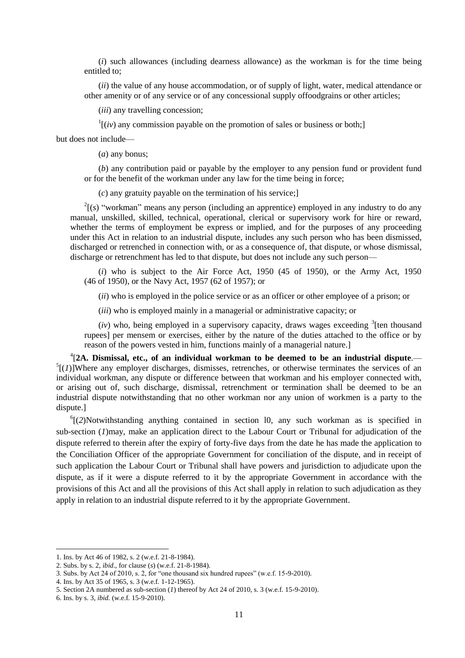(*i*) such allowances (including dearness allowance) as the workman is for the time being entitled to;

(*ii*) the value of any house accommodation, or of supply of light, water, medical attendance or other amenity or of any service or of any concessional supply offoodgrains or other articles;

(*iii*) any travelling concession;

 $\frac{1}{i}$ [(*iv*) any commission payable on the promotion of sales or business or both;]

but does not include—

(*a*) any bonus;

(*b*) any contribution paid or payable by the employer to any pension fund or provident fund or for the benefit of the workman under any law for the time being in force;

(*c*) any gratuity payable on the termination of his service;]

 $2^{2}(s)$  "workman" means any person (including an apprentice) employed in any industry to do any manual, unskilled, skilled, technical, operational, clerical or supervisory work for hire or reward, whether the terms of employment be express or implied, and for the purposes of any proceeding under this Act in relation to an industrial dispute, includes any such person who has been dismissed, discharged or retrenched in connection with, or as a consequence of, that dispute, or whose dismissal, discharge or retrenchment has led to that dispute, but does not include any such person—

(*i*) who is subject to the Air Force Act, 1950 (45 of 1950), or the Army Act, 1950 (46 of 1950), or the Navy Act, 1957 (62 of 1957); or

(*ii*) who is employed in the police service or as an officer or other employee of a prison; or

(*iii*) who is employed mainly in a managerial or administrative capacity; or

 $(iv)$  who, being employed in a supervisory capacity, draws wages exceeding  $\delta$  [ten thousand rupees] per mensem or exercises, either by the nature of the duties attached to the office or by reason of the powers vested in him, functions mainly of a managerial nature.]

<sup>4</sup>[2A. Dismissal, etc., of an individual workman to be deemed to be an industrial dispute.—<br><sup>5</sup>[(*I*)]Where any employer displaces, dismisses, retropeles, or otherwise teminates the services of an  ${}^{5}$ [(*1*)]Where any employer discharges, dismisses, retrenches, or otherwise terminates the services of an individual workman, any dispute or difference between that workman and his employer connected with, or arising out of, such discharge, dismissal, retrenchment or termination shall be deemed to be an industrial dispute notwithstanding that no other workman nor any union of workmen is a party to the dispute.]

 ${}^{6}$ [(2)Notwithstanding anything contained in section 10, any such workman as is specified in sub-section (*1*)may, make an application direct to the Labour Court or Tribunal for adjudication of the dispute referred to therein after the expiry of forty-five days from the date he has made the application to the Conciliation Officer of the appropriate Government for conciliation of the dispute, and in receipt of such application the Labour Court or Tribunal shall have powers and jurisdiction to adjudicate upon the dispute, as if it were a dispute referred to it by the appropriate Government in accordance with the provisions of this Act and all the provisions of this Act shall apply in relation to such adjudication as they apply in relation to an industrial dispute referred to it by the appropriate Government.

<sup>1.</sup> Ins. by Act 46 of 1982, s. 2 (w.e.f. 21-8-1984).

<sup>2.</sup> Subs. by s. 2, *ibid*., for clause (*s*) (w.e.f. 21-8-1984).

<sup>3.</sup> Subs. by Act 24 of 2010, s. 2, for "one thousand six hundred rupees" (w.e.f. 15-9-2010).

<sup>4.</sup> Ins. by Act 35 of 1965, s. 3 (w.e.f. 1-12-1965).

<sup>5.</sup> Section 2A numbered as sub-section (*1*) thereof by Act 24 of 2010, s. 3 (w.e.f. 15-9-2010).

<sup>6.</sup> Ins. by s. 3, *ibid.* (w.e.f. 15-9-2010).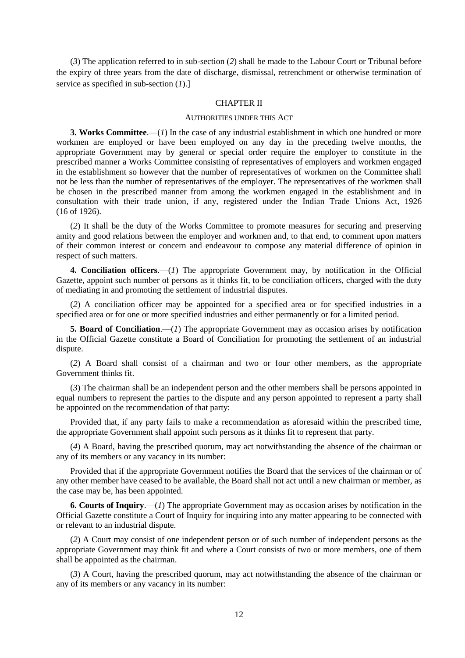(*3*) The application referred to in sub-section (*2*) shall be made to the Labour Court or Tribunal before the expiry of three years from the date of discharge, dismissal, retrenchment or otherwise termination of service as specified in sub-section (*1*).]

#### CHAPTER II

#### AUTHORITIES UNDER THIS ACT

**3. Works Committee**.—(*1*) In the case of any industrial establishment in which one hundred or more workmen are employed or have been employed on any day in the preceding twelve months, the appropriate Government may by general or special order require the employer to constitute in the prescribed manner a Works Committee consisting of representatives of employers and workmen engaged in the establishment so however that the number of representatives of workmen on the Committee shall not be less than the number of representatives of the employer. The representatives of the workmen shall be chosen in the prescribed manner from among the workmen engaged in the establishment and in consultation with their trade union, if any, registered under the Indian Trade Unions Act, 1926 (16 of 1926).

(*2*) It shall be the duty of the Works Committee to promote measures for securing and preserving amity and good relations between the employer and workmen and, to that end, to comment upon matters of their common interest or concern and endeavour to compose any material difference of opinion in respect of such matters.

**4. Conciliation officers**.—(*1*) The appropriate Government may, by notification in the Official Gazette, appoint such number of persons as it thinks fit, to be conciliation officers, charged with the duty of mediating in and promoting the settlement of industrial disputes.

(*2*) A conciliation officer may be appointed for a specified area or for specified industries in a specified area or for one or more specified industries and either permanently or for a limited period.

**5. Board of Conciliation**.—(*1*) The appropriate Government may as occasion arises by notification in the Official Gazette constitute a Board of Conciliation for promoting the settlement of an industrial dispute.

(*2*) A Board shall consist of a chairman and two or four other members, as the appropriate Government thinks fit.

(*3*) The chairman shall be an independent person and the other members shall be persons appointed in equal numbers to represent the parties to the dispute and any person appointed to represent a party shall be appointed on the recommendation of that party:

Provided that, if any party fails to make a recommendation as aforesaid within the prescribed time, the appropriate Government shall appoint such persons as it thinks fit to represent that party.

(*4*) A Board, having the prescribed quorum, may act notwithstanding the absence of the chairman or any of its members or any vacancy in its number:

Provided that if the appropriate Government notifies the Board that the services of the chairman or of any other member have ceased to be available, the Board shall not act until a new chairman or member, as the case may be, has been appointed.

**6. Courts of Inquiry**.—(*1*) The appropriate Government may as occasion arises by notification in the Official Gazette constitute a Court of Inquiry for inquiring into any matter appearing to be connected with or relevant to an industrial dispute.

(*2*) A Court may consist of one independent person or of such number of independent persons as the appropriate Government may think fit and where a Court consists of two or more members, one of them shall be appointed as the chairman.

(*3*) A Court, having the prescribed quorum, may act notwithstanding the absence of the chairman or any of its members or any vacancy in its number: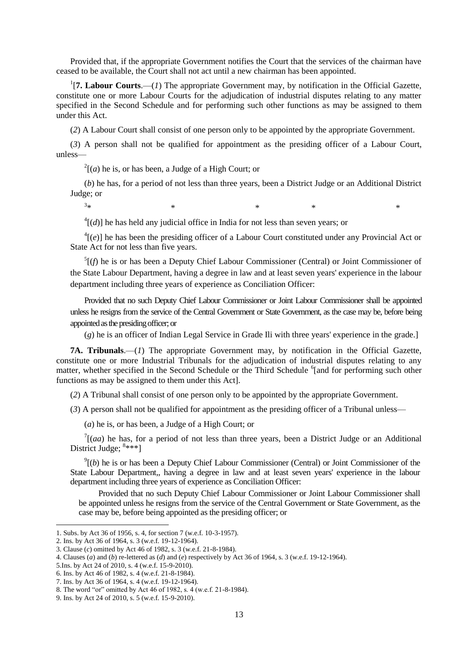Provided that, if the appropriate Government notifies the Court that the services of the chairman have ceased to be available, the Court shall not act until a new chairman has been appointed.

<sup>1</sup>[7. Labour Courts.—(*1*) The appropriate Government may, by notification in the Official Gazette, constitute one or more Labour Courts for the adjudication of industrial disputes relating to any matter specified in the Second Schedule and for performing such other functions as may be assigned to them under this Act.

(*2*) A Labour Court shall consist of one person only to be appointed by the appropriate Government.

(*3*) A person shall not be qualified for appointment as the presiding officer of a Labour Court, unless—

 $2[(a)$  he is, or has been, a Judge of a High Court; or

(*b*) he has, for a period of not less than three years, been a District Judge or an Additional District Judge; or

 $3_{\ast}$ 

 $*$  \*  $*$  \*  $*$  \*  $*$  \*

 $^{4}[(d)]$  he has held any judicial office in India for not less than seven years; or

 $^{4}$ [(*e*)] he has been the presiding officer of a Labour Court constituted under any Provincial Act or State Act for not less than five years.

 ${}^5$ [(f) he is or has been a Deputy Chief Labour Commissioner (Central) or Joint Commissioner of the State Labour Department, having a degree in law and at least seven years' experience in the labour department including three years of experience as Conciliation Officer:

Provided that no such Deputy Chief Labour Commissioner or Joint Labour Commissioner shall be appointed unless he resigns from the service of the Central Government or State Government, as the case may be, before being appointed as the presiding officer; or

(*g*) he is an officer of Indian Legal Service in Grade Ili with three years' experience in the grade.]

**7A. Tribunals**.—(*1*) The appropriate Government may, by notification in the Official Gazette, constitute one or more Industrial Tribunals for the adjudication of industrial disputes relating to any matter, whether specified in the Second Schedule or the Third Schedule <sup>6</sup>[and for performing such other functions as may be assigned to them under this Act].

(*2*) A Tribunal shall consist of one person only to be appointed by the appropriate Government.

(*3*) A person shall not be qualified for appointment as the presiding officer of a Tribunal unless—

(*a*) he is, or has been, a Judge of a High Court; or

 $T[(aa)$  he has, for a period of not less than three years, been a District Judge or an Additional District Judge; <sup>8</sup>\*\*\*]

 $\mathcal{O}_1(b)$  he is or has been a Deputy Chief Labour Commissioner (Central) or Joint Commissioner of the State Labour Department,, having a degree in law and at least seven years' experience in the labour department including three years of experience as Conciliation Officer:

Provided that no such Deputy Chief Labour Commissioner or Joint Labour Commissioner shall be appointed unless he resigns from the service of the Central Government or State Government, as the case may be, before being appointed as the presiding officer; or

<sup>1.</sup> Subs. by Act 36 of 1956, s. 4, for section 7 (w.e.f. 10-3-1957).

<sup>2.</sup> Ins. by Act 36 of 1964, s. 3 (w.e.f. 19-12-1964).

<sup>3.</sup> Clause (*c*) omitted by Act 46 of 1982, s. 3 (w.e.f. 21-8-1984).

<sup>4.</sup> Clauses (*a*) and (*b*) re-lettered as (*d*) and (*e*) respectively by Act 36 of 1964, s. 3 (w.e.f. 19-12-1964).

<sup>5.</sup>Ins. by Act 24 of 2010, s. 4 (w.e.f. 15-9-2010).

<sup>6.</sup> Ins. by Act 46 of 1982, s. 4 (w.e.f. 21-8-1984).

<sup>7.</sup> Ins. by Act 36 of 1964, s. 4 (w.e.f. 19-12-1964).

<sup>8.</sup> The word "or" omitted by Act 46 of 1982, s. 4 (w.e.f. 21-8-1984).

<sup>9.</sup> Ins. by Act 24 of 2010, s. 5 (w.e.f. 15-9-2010).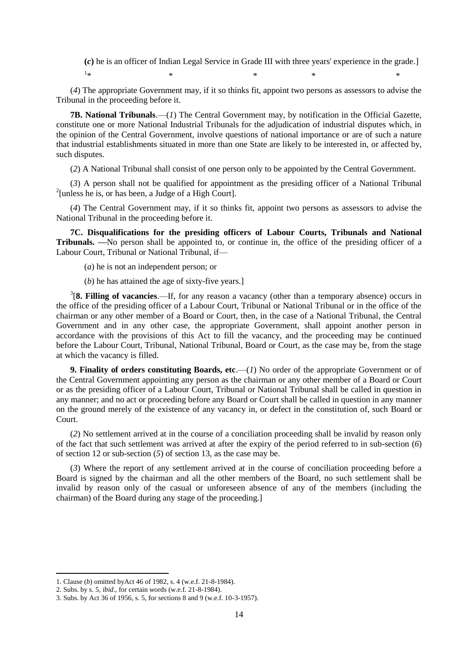**(***c***)** he is an officer of Indian Legal Service in Grade III with three years' experience in the grade.]  $1_{\ast}$  $*$  \*  $*$  \*  $*$  \*  $*$  \*

(*4*) The appropriate Government may, if it so thinks fit, appoint two persons as assessors to advise the Tribunal in the proceeding before it.

**7B. National Tribunals**.—(*1*) The Central Government may, by notification in the Official Gazette, constitute one or more National Industrial Tribunals for the adjudication of industrial disputes which, in the opinion of the Central Government, involve questions of national importance or are of such a nature that industrial establishments situated in more than one State are likely to be interested in, or affected by, such disputes.

(*2*) A National Tribunal shall consist of one person only to be appointed by the Central Government.

(*3*) A person shall not be qualified for appointment as the presiding officer of a National Tribunal <sup>2</sup>[unless he is, or has been, a Judge of a High Court].

(*4*) The Central Government may, if it so thinks fit, appoint two persons as assessors to advise the National Tribunal in the proceeding before it.

**7C. Disqualifications for the presiding officers of Labour Courts, Tribunals and National Tribunals. —**No person shall be appointed to, or continue in, the office of the presiding officer of a Labour Court, Tribunal or National Tribunal, if—

- (*a*) he is not an independent person; or
- (*b*) he has attained the age of sixty-five years.]

<sup>3</sup>[8. Filling of vacancies.—If, for any reason a vacancy (other than a temporary absence) occurs in the office of the presiding officer of a Labour Court, Tribunal or National Tribunal or in the office of the chairman or any other member of a Board or Court, then, in the case of a National Tribunal, the Central Government and in any other case, the appropriate Government, shall appoint another person in accordance with the provisions of this Act to fill the vacancy, and the proceeding may be continued before the Labour Court, Tribunal, National Tribunal, Board or Court, as the case may be, from the stage at which the vacancy is filled.

**9. Finality of orders constituting Boards, etc.—** $(I)$  **No order of the appropriate Government or of** the Central Government appointing any person as the chairman or any other member of a Board or Court or as the presiding officer of a Labour Court, Tribunal or National Tribunal shall be called in question in any manner; and no act or proceeding before any Board or Court shall be called in question in any manner on the ground merely of the existence of any vacancy in, or defect in the constitution of, such Board or Court.

(*2*) No settlement arrived at in the course of a conciliation proceeding shall be invalid by reason only of the fact that such settlement was arrived at after the expiry of the period referred to in sub-section (*6*) of section 12 or sub-section (*5*) of section 13, as the case may be.

(*3*) Where the report of any settlement arrived at in the course of conciliation proceeding before a Board is signed by the chairman and all the other members of the Board, no such settlement shall be invalid by reason only of the casual or unforeseen absence of any of the members (including the chairman) of the Board during any stage of the proceeding.]

<sup>1.</sup> Clause (*b*) omitted byAct 46 of 1982, s. 4 (w.e.f. 21-8-1984).

<sup>2.</sup> Subs. by s. 5, *ibid*., for certain words (w.e.f. 21-8-1984).

<sup>3.</sup> Subs. by Act 36 of 1956, s. 5, for sections 8 and 9 (w.e.f. 10-3-1957).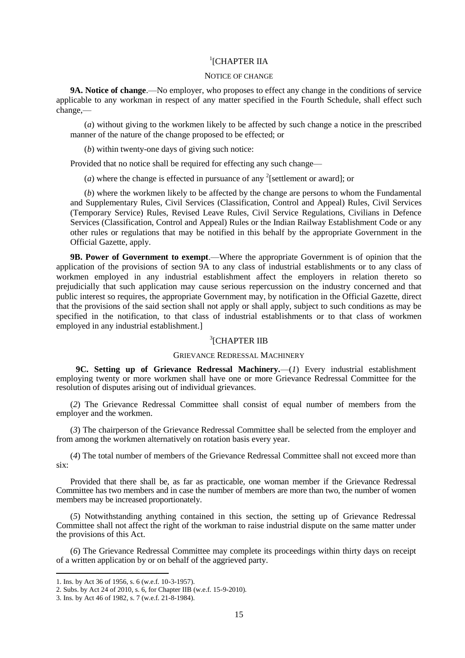# <sup>1</sup>[CHAPTER IIA

#### NOTICE OF CHANGE

**9A. Notice of change**.—No employer, who proposes to effect any change in the conditions of service applicable to any workman in respect of any matter specified in the Fourth Schedule, shall effect such change,—

(*a*) without giving to the workmen likely to be affected by such change a notice in the prescribed manner of the nature of the change proposed to be effected; or

(*b*) within twenty-one days of giving such notice:

Provided that no notice shall be required for effecting any such change—

(*a*) where the change is effected in pursuance of any <sup>2</sup>[settlement or award]; or

(*b*) where the workmen likely to be affected by the change are persons to whom the Fundamental and Supplementary Rules, Civil Services (Classification, Control and Appeal) Rules, Civil Services (Temporary Service) Rules, Revised Leave Rules, Civil Service Regulations, Civilians in Defence Services (Classification, Control and Appeal) Rules or the Indian Railway Establishment Code or any other rules or regulations that may be notified in this behalf by the appropriate Government in the Official Gazette, apply.

**9B. Power of Government to exempt.—Where the appropriate Government is of opinion that the** application of the provisions of section 9A to any class of industrial establishments or to any class of workmen employed in any industrial establishment affect the employers in relation thereto so prejudicially that such application may cause serious repercussion on the industry concerned and that public interest so requires, the appropriate Government may, by notification in the Official Gazette, direct that the provisions of the said section shall not apply or shall apply, subject to such conditions as may be specified in the notification, to that class of industrial establishments or to that class of workmen employed in any industrial establishment.]

# 3 [CHAPTER IIB

#### GRIEVANCE REDRESSAL MACHINERY

**9C. Setting up of Grievance Redressal Machinery.**—(*1*) Every industrial establishment employing twenty or more workmen shall have one or more Grievance Redressal Committee for the resolution of disputes arising out of individual grievances.

(*2*) The Grievance Redressal Committee shall consist of equal number of members from the employer and the workmen.

(*3*) The chairperson of the Grievance Redressal Committee shall be selected from the employer and from among the workmen alternatively on rotation basis every year.

(*4*) The total number of members of the Grievance Redressal Committee shall not exceed more than six:

Provided that there shall be, as far as practicable, one woman member if the Grievance Redressal Committee has two members and in case the number of members are more than two, the number of women members may be increased proportionately.

(*5*) Notwithstanding anything contained in this section, the setting up of Grievance Redressal Committee shall not affect the right of the workman to raise industrial dispute on the same matter under the provisions of this Act.

(*6*) The Grievance Redressal Committee may complete its proceedings within thirty days on receipt of a written application by or on behalf of the aggrieved party.

<sup>1.</sup> Ins. by Act 36 of 1956, s. 6 (w.e.f. 10-3-1957).

<sup>2.</sup> Subs. by Act 24 of 2010, s. 6, for Chapter IIB (w.e.f. 15-9-2010).

<sup>3.</sup> Ins. by Act 46 of 1982, s. 7 (w.e.f. 21-8-1984).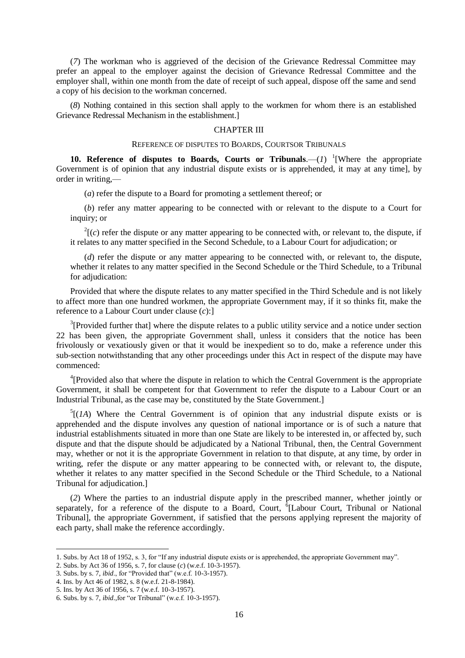(*7*) The workman who is aggrieved of the decision of the Grievance Redressal Committee may prefer an appeal to the employer against the decision of Grievance Redressal Committee and the employer shall, within one month from the date of receipt of such appeal, dispose off the same and send a copy of his decision to the workman concerned.

(*8*) Nothing contained in this section shall apply to the workmen for whom there is an established Grievance Redressal Mechanism in the establishment.]

## CHAPTER III

#### REFERENCE OF DISPUTES TO BOARDS, COURTSOR TRIBUNALS

**10. Reference of disputes to Boards, Courts or Tribunals.—** $(I)$  **<sup>1</sup>[Where the appropriate** Government is of opinion that any industrial dispute exists or is apprehended, it may at any time], by order in writing,—

(*a*) refer the dispute to a Board for promoting a settlement thereof; or

(*b*) refer any matter appearing to be connected with or relevant to the dispute to a Court for inquiry; or

 $2\cdot$  (*c*) refer the dispute or any matter appearing to be connected with, or relevant to, the dispute, if it relates to any matter specified in the Second Schedule, to a Labour Court for adjudication; or

(*d*) refer the dispute or any matter appearing to be connected with, or relevant to, the dispute, whether it relates to any matter specified in the Second Schedule or the Third Schedule, to a Tribunal for adjudication:

Provided that where the dispute relates to any matter specified in the Third Schedule and is not likely to affect more than one hundred workmen, the appropriate Government may, if it so thinks fit, make the reference to a Labour Court under clause (*c*):]

 $3$ [Provided further that] where the dispute relates to a public utility service and a notice under section 22 has been given, the appropriate Government shall, unless it considers that the notice has been frivolously or vexatiously given or that it would be inexpedient so to do, make a reference under this sub-section notwithstanding that any other proceedings under this Act in respect of the dispute may have commenced:

<sup>4</sup>[Provided also that where the dispute in relation to which the Central Government is the appropriate Government, it shall be competent for that Government to refer the dispute to a Labour Court or an Industrial Tribunal, as the case may be, constituted by the State Government.]

 $<sup>5</sup>[(IA)$  Where the Central Government is of opinion that any industrial dispute exists or is</sup> apprehended and the dispute involves any question of national importance or is of such a nature that industrial establishments situated in more than one State are likely to be interested in, or affected by, such dispute and that the dispute should be adjudicated by a National Tribunal, then, the Central Government may, whether or not it is the appropriate Government in relation to that dispute, at any time, by order in writing, refer the dispute or any matter appearing to be connected with, or relevant to, the dispute, whether it relates to any matter specified in the Second Schedule or the Third Schedule, to a National Tribunal for adjudication.]

(*2*) Where the parties to an industrial dispute apply in the prescribed manner, whether jointly or separately, for a reference of the dispute to a Board, Court, <sup>6</sup>[Labour Court, Tribunal or National Tribunal], the appropriate Government, if satisfied that the persons applying represent the majority of each party, shall make the reference accordingly.

<sup>1.</sup> Subs. by Act 18 of 1952, s. 3, for "If any industrial dispute exists or is apprehended, the appropriate Government may".

<sup>2.</sup> Subs. by Act 36 of 1956, s. 7, for clause (*c*) (w.e.f. 10-3-1957).

<sup>3.</sup> Subs. by s. 7, *ibid*., for "Provided that" (w.e.f. 10-3-1957).

<sup>4.</sup> Ins. by Act 46 of 1982, s. 8 (w.e.f. 21-8-1984).

<sup>5.</sup> Ins. by Act 36 of 1956, s. 7 (w.e.f. 10-3-1957).

<sup>6.</sup> Subs. by s. 7, *ibid*.,for "or Tribunal" (w.e.f. 10-3-1957).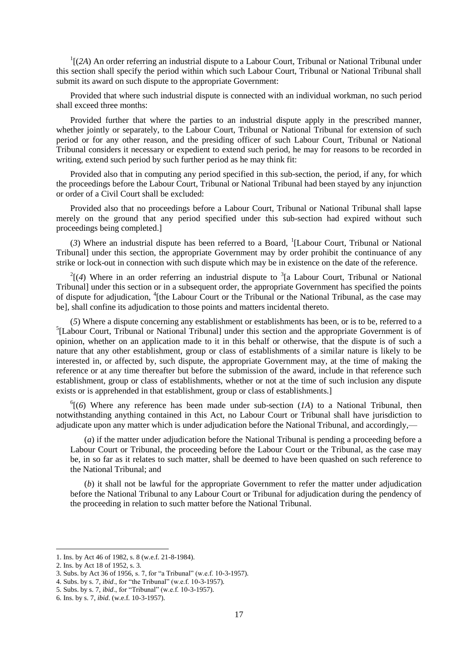$1$ [(2A) An order referring an industrial dispute to a Labour Court, Tribunal or National Tribunal under this section shall specify the period within which such Labour Court, Tribunal or National Tribunal shall submit its award on such dispute to the appropriate Government:

Provided that where such industrial dispute is connected with an individual workman, no such period shall exceed three months:

Provided further that where the parties to an industrial dispute apply in the prescribed manner, whether jointly or separately, to the Labour Court, Tribunal or National Tribunal for extension of such period or for any other reason, and the presiding officer of such Labour Court, Tribunal or National Tribunal considers it necessary or expedient to extend such period, he may for reasons to be recorded in writing, extend such period by such further period as he may think fit:

Provided also that in computing any period specified in this sub-section, the period, if any, for which the proceedings before the Labour Court, Tribunal or National Tribunal had been stayed by any injunction or order of a Civil Court shall be excluded:

Provided also that no proceedings before a Labour Court, Tribunal or National Tribunal shall lapse merely on the ground that any period specified under this sub-section had expired without such proceedings being completed.]

 $(3)$  Where an industrial dispute has been referred to a Board, <sup>1</sup>[Labour Court, Tribunal or National Tribunal] under this section, the appropriate Government may by order prohibit the continuance of any strike or lock-out in connection with such dispute which may be in existence on the date of the reference.

 $2^{2}$ [(4) Where in an order referring an industrial dispute to  $3^{2}$ [a Labour Court, Tribunal or National Tribunal] under this section or in a subsequent order, the appropriate Government has specified the points of dispute for adjudication, <sup>4</sup>[the Labour Court or the Tribunal or the National Tribunal, as the case may be], shall confine its adjudication to those points and matters incidental thereto.

(*5*) Where a dispute concerning any establishment or establishments has been, or is to be, referred to a <sup>5</sup>[Labour Court, Tribunal or National Tribunal] under this section and the appropriate Government is of opinion, whether on an application made to it in this behalf or otherwise, that the dispute is of such a nature that any other establishment, group or class of establishments of a similar nature is likely to be interested in, or affected by, such dispute, the appropriate Government may, at the time of making the reference or at any time thereafter but before the submission of the award, include in that reference such establishment, group or class of establishments, whether or not at the time of such inclusion any dispute exists or is apprehended in that establishment, group or class of establishments.]

 ${}^{6}$ [(6) Where any reference has been made under sub-section (*1A*) to a National Tribunal, then notwithstanding anything contained in this Act, no Labour Court or Tribunal shall have jurisdiction to adjudicate upon any matter which is under adjudication before the National Tribunal, and accordingly,—

(*a*) if the matter under adjudication before the National Tribunal is pending a proceeding before a Labour Court or Tribunal, the proceeding before the Labour Court or the Tribunal, as the case may be, in so far as it relates to such matter, shall be deemed to have been quashed on such reference to the National Tribunal; and

(*b*) it shall not be lawful for the appropriate Government to refer the matter under adjudication before the National Tribunal to any Labour Court or Tribunal for adjudication during the pendency of the proceeding in relation to such matter before the National Tribunal.

<sup>1.</sup> Ins. by Act 46 of 1982, s. 8 (w.e.f. 21-8-1984).

<sup>2.</sup> Ins. by Act 18 of 1952, s. 3.

<sup>3.</sup> Subs. by Act 36 of 1956, s. 7, for "a Tribunal" (w.e.f. 10-3-1957).

<sup>4.</sup> Subs. by s. 7, *ibid*., for "the Tribunal" (w.e.f. 10-3-1957).

<sup>5.</sup> Subs. by s. 7, *ibid*., for "Tribunal" (w.e.f. 10-3-1957).

<sup>6.</sup> Ins. by s. 7, *ibid*. (w.e.f. 10-3-1957).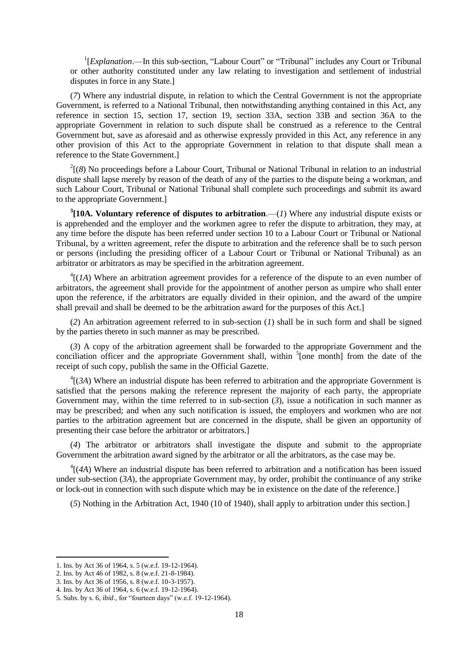<sup>1</sup>[*Explanation*.—In this sub-section, "Labour Court" or "Tribunal" includes any Court or Tribunal or other authority constituted under any law relating to investigation and settlement of industrial disputes in force in any State.]

(*7*) Where any industrial dispute, in relation to which the Central Government is not the appropriate Government, is referred to a National Tribunal, then notwithstanding anything contained in this Act, any reference in section 15, section 17, section 19, section 33A, section 33B and section 36A to the appropriate Government in relation to such dispute shall be construed as a reference to the Central Government but, save as aforesaid and as otherwise expressly provided in this Act, any reference in any other provision of this Act to the appropriate Government in relation to that dispute shall mean a reference to the State Government.]

2 [(*8*) No proceedings before a Labour Court, Tribunal or National Tribunal in relation to an industrial dispute shall lapse merely by reason of the death of any of the parties to the dispute being a workman, and such Labour Court, Tribunal or National Tribunal shall complete such proceedings and submit its award to the appropriate Government.]

<sup>3</sup>[10A. Voluntary reference of disputes to arbitration.— $(I)$  Where any industrial dispute exists or is apprehended and the employer and the workmen agree to refer the dispute to arbitration, they may, at any time before the dispute has been referred under section 10 to a Labour Court or Tribunal or National Tribunal, by a written agreement, refer the dispute to arbitration and the reference shall be to such person or persons (including the presiding officer of a Labour Court or Tribunal or National Tribunal) as an arbitrator or arbitrators as may be specified in the arbitration agreement.

 ${}^{4}$ [(*1A*) Where an arbitration agreement provides for a reference of the dispute to an even number of arbitrators, the agreement shall provide for the appointment of another person as umpire who shall enter upon the reference, if the arbitrators are equally divided in their opinion, and the award of the umpire shall prevail and shall be deemed to be the arbitration award for the purposes of this Act.]

(*2*) An arbitration agreement referred to in sub-section (*1*) shall be in such form and shall be signed by the parties thereto in such manner as may be prescribed.

(*3*) A copy of the arbitration agreement shall be forwarded to the appropriate Government and the conciliation officer and the appropriate Government shall, within  $5$ [one month] from the date of the receipt of such copy, publish the same in the Official Gazette.

 ${}^{4}$ [(*3A*) Where an industrial dispute has been referred to arbitration and the appropriate Government is satisfied that the persons making the reference represent the majority of each party, the appropriate Government may, within the time referred to in sub-section (*3*), issue a notification in such manner as may be prescribed; and when any such notification is issued, the employers and workmen who are not parties to the arbitration agreement but are concerned in the dispute, shall be given an opportunity of presenting their case before the arbitrator or arbitrators.]

(*4*) The arbitrator or arbitrators shall investigate the dispute and submit to the appropriate Government the arbitration award signed by the arbitrator or all the arbitrators, as the case may be.

4 [(*4A*) Where an industrial dispute has been referred to arbitration and a notification has been issued under sub-section (*3A*), the appropriate Government may, by order, prohibit the continuance of any strike or lock-out in connection with such dispute which may be in existence on the date of the reference.]

(*5*) Nothing in the Arbitration Act, 1940 (10 of 1940), shall apply to arbitration under this section.]

<sup>1.</sup> Ins. by Act 36 of 1964, s. 5 (w.e.f. 19-12-1964).

<sup>2.</sup> Ins. by Act 46 of 1982, s. 8 (w.e.f. 21-8-1984).

<sup>3.</sup> Ins. by Act 36 of 1956, s. 8 (w.e.f. 10-3-1957).

<sup>4.</sup> Ins. by Act 36 of 1964, s. 6 (w.e.f. 19-12-1964).

<sup>5.</sup> Subs. by s. 6, *ibid*., for "fourteen days" (w.e.f. 19-12-1964).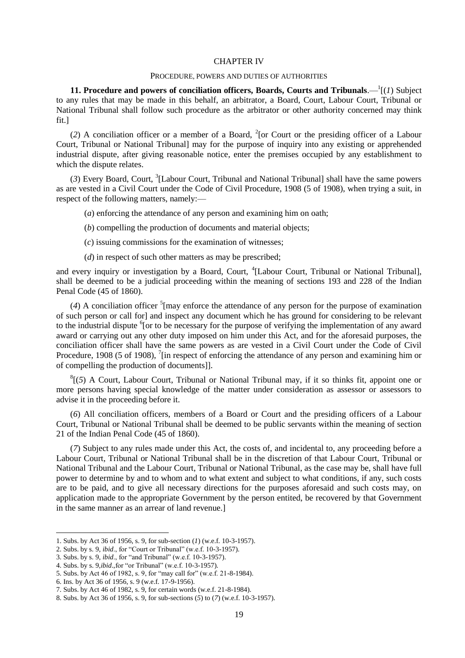#### CHAPTER IV

#### PROCEDURE, POWERS AND DUTIES OF AUTHORITIES

**11. Procedure and powers of conciliation officers, Boards, Courts and Tribunals.—<sup>1</sup>[(***1***) Subject** to any rules that may be made in this behalf, an arbitrator, a Board, Court, Labour Court, Tribunal or National Tribunal shall follow such procedure as the arbitrator or other authority concerned may think fit.]

(2) A conciliation officer or a member of a Board,  $^{2}$  [or Court or the presiding officer of a Labour Court, Tribunal or National Tribunal] may for the purpose of inquiry into any existing or apprehended industrial dispute, after giving reasonable notice, enter the premises occupied by any establishment to which the dispute relates.

(3) Every Board, Court, <sup>3</sup>[Labour Court, Tribunal and National Tribunal] shall have the same powers as are vested in a Civil Court under the Code of Civil Procedure, 1908 (5 of 1908), when trying a suit, in respect of the following matters, namely:—

(*a*) enforcing the attendance of any person and examining him on oath;

- (*b*) compelling the production of documents and material objects;
- (*c*) issuing commissions for the examination of witnesses;
- (*d*) in respect of such other matters as may be prescribed;

and every inquiry or investigation by a Board, Court, <sup>4</sup>[Labour Court, Tribunal or National Tribunal], shall be deemed to be a judicial proceeding within the meaning of sections 193 and 228 of the Indian Penal Code (45 of 1860).

 $(4)$  A conciliation officer  $\frac{5}{2}$  [may enforce the attendance of any person for the purpose of examination of such person or call for] and inspect any document which he has ground for considering to be relevant to the industrial dispute <sup>6</sup>[or to be necessary for the purpose of verifying the implementation of any award award or carrying out any other duty imposed on him under this Act, and for the aforesaid purposes, the conciliation officer shall have the same powers as are vested in a Civil Court under the Code of Civil Procedure, 1908 (5 of 1908), <sup>7</sup>[in respect of enforcing the attendance of any person and examining him or of compelling the production of documents]].

 ${}^{8}$ [(5) A Court, Labour Court, Tribunal or National Tribunal may, if it so thinks fit, appoint one or more persons having special knowledge of the matter under consideration as assessor or assessors to advise it in the proceeding before it.

(*6*) All conciliation officers, members of a Board or Court and the presiding officers of a Labour Court, Tribunal or National Tribunal shall be deemed to be public servants within the meaning of section 21 of the Indian Penal Code (45 of 1860).

(*7*) Subject to any rules made under this Act, the costs of, and incidental to, any proceeding before a Labour Court, Tribunal or National Tribunal shall be in the discretion of that Labour Court, Tribunal or National Tribunal and the Labour Court, Tribunal or National Tribunal, as the case may be, shall have full power to determine by and to whom and to what extent and subject to what conditions, if any, such costs are to be paid, and to give all necessary directions for the purposes aforesaid and such costs may, on application made to the appropriate Government by the person entited, be recovered by that Government in the same manner as an arrear of land revenue.]

 $\overline{a}$ 

<sup>1.</sup> Subs. by Act 36 of 1956, s. 9, for sub-section (*1*) (w.e.f. 10-3-1957).

<sup>2.</sup> Subs. by s. 9, *ibid*., for "Court or Tribunal" (w.e.f. 10-3-1957).

<sup>3.</sup> Subs. by s. 9, *ibid*., for "and Tribunal" (w.e.f. 10-3-1957).

<sup>4.</sup> Subs. by s. 9,*ibid*.,for "or Tribunal" (w.e.f. 10-3-1957).

<sup>5.</sup> Subs. by Act 46 of 1982, s. 9, for "may call for" (w.e.f. 21-8-1984).

<sup>6.</sup> Ins. by Act 36 of 1956, s. 9 (w.e.f. 17-9-1956).

<sup>7.</sup> Subs. by Act 46 of 1982, s. 9, for certain words (w.e.f. 21-8-1984).

<sup>8.</sup> Subs. by Act 36 of 1956, s. 9, for sub-sections (*5*) to (*7*) (w.e.f. 10-3-1957).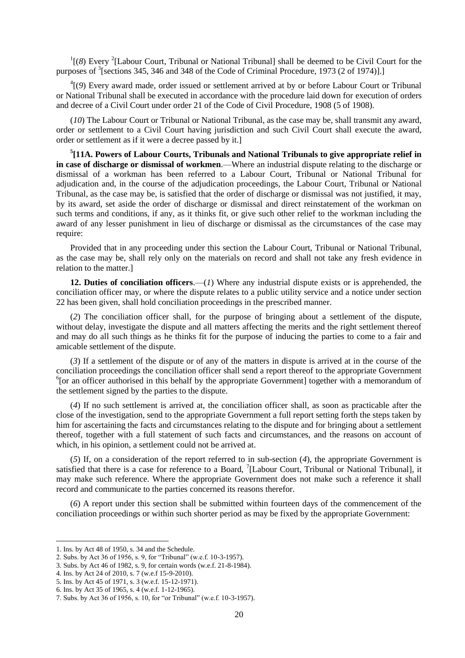$\frac{1}{8}$  Every <sup>2</sup> [Labour Court, Tribunal or National Tribunal] shall be deemed to be Civil Court for the purposes of <sup>3</sup>[sections 345, 346 and 348 of the Code of Criminal Procedure, 1973 (2 of 1974)].]

<sup>4</sup>[(9) Every award made, order issued or settlement arrived at by or before Labour Court or Tribunal or National Tribunal shall be executed in accordance with the procedure laid down for execution of orders and decree of a Civil Court under order 21 of the Code of Civil Procedure, 1908 (5 of 1908).

(*10*) The Labour Court or Tribunal or National Tribunal, as the case may be, shall transmit any award, order or settlement to a Civil Court having jurisdiction and such Civil Court shall execute the award, order or settlement as if it were a decree passed by it.]

**5 [11A. Powers of Labour Courts, Tribunals and National Tribunals to give appropriate relief in in case of discharge or dismissal of workmen**.—Where an industrial dispute relating to the discharge or dismissal of a workman has been referred to a Labour Court, Tribunal or National Tribunal for adjudication and, in the course of the adjudication proceedings, the Labour Court, Tribunal or National Tribunal, as the case may be, is satisfied that the order of discharge or dismissal was not justified, it may, by its award, set aside the order of discharge or dismissal and direct reinstatement of the workman on such terms and conditions, if any, as it thinks fit, or give such other relief to the workman including the award of any lesser punishment in lieu of discharge or dismissal as the circumstances of the case may require:

Provided that in any proceeding under this section the Labour Court, Tribunal or National Tribunal, as the case may be, shall rely only on the materials on record and shall not take any fresh evidence in relation to the matter.]

**12. Duties of conciliation officers**.—(*1*) Where any industrial dispute exists or is apprehended, the conciliation officer may, or where the dispute relates to a public utility service and a notice under section 22 has been given, shall hold conciliation proceedings in the prescribed manner.

(*2*) The conciliation officer shall, for the purpose of bringing about a settlement of the dispute, without delay, investigate the dispute and all matters affecting the merits and the right settlement thereof and may do all such things as he thinks fit for the purpose of inducing the parties to come to a fair and amicable settlement of the dispute.

(*3*) If a settlement of the dispute or of any of the matters in dispute is arrived at in the course of the conciliation proceedings the conciliation officer shall send a report thereof to the appropriate Government <sup>6</sup>[or an officer authorised in this behalf by the appropriate Government] together with a memorandum of the settlement signed by the parties to the dispute.

(*4*) If no such settlement is arrived at, the conciliation officer shall, as soon as practicable after the close of the investigation, send to the appropriate Government a full report setting forth the steps taken by him for ascertaining the facts and circumstances relating to the dispute and for bringing about a settlement thereof, together with a full statement of such facts and circumstances, and the reasons on account of which, in his opinion, a settlement could not be arrived at.

(*5*) If, on a consideration of the report referred to in sub-section (*4*), the appropriate Government is satisfied that there is a case for reference to a Board, <sup>7</sup>[Labour Court, Tribunal or National Tribunal], it may make such reference. Where the appropriate Government does not make such a reference it shall record and communicate to the parties concerned its reasons therefor.

(*6*) A report under this section shall be submitted within fourteen days of the commencement of the conciliation proceedings or within such shorter period as may be fixed by the appropriate Government:

<sup>1.</sup> Ins. by Act 48 of 1950, s. 34 and the Schedule.

<sup>2.</sup> Subs. by Act 36 of 1956, s. 9, for "Tribunal" (w.e.f. 10-3-1957).

<sup>3.</sup> Subs. by Act 46 of 1982, s. 9, for certain words (w.e.f. 21-8-1984).

<sup>4.</sup> Ins. by Act 24 of 2010, s. 7 (w.e.f 15-9-2010).

<sup>5.</sup> Ins. by Act 45 of 1971, s. 3 (w.e.f. 15-12-1971).

<sup>6.</sup> Ins. by Act 35 of 1965, s. 4 (w.e.f. 1-12-1965).

<sup>7.</sup> Subs. by Act 36 of 1956, s. 10, for "or Tribunal" (w.e.f. 10-3-1957).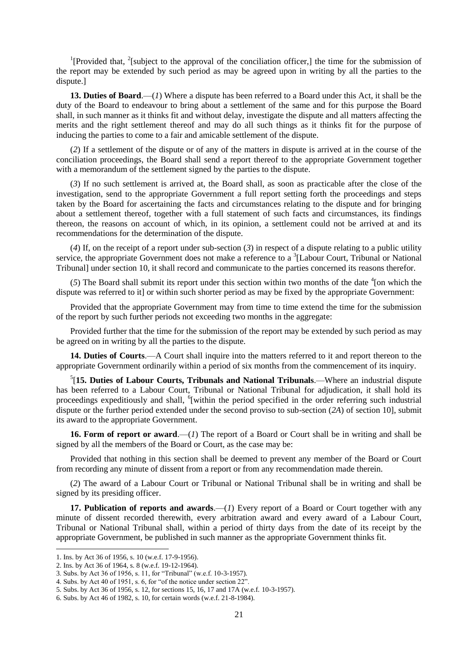<sup>1</sup>[Provided that,  $^{2}$ [subject to the approval of the conciliation officer,] the time for the submission of the report may be extended by such period as may be agreed upon in writing by all the parties to the dispute.]

**13. Duties of Board**.—(*1*) Where a dispute has been referred to a Board under this Act, it shall be the duty of the Board to endeavour to bring about a settlement of the same and for this purpose the Board shall, in such manner as it thinks fit and without delay, investigate the dispute and all matters affecting the merits and the right settlement thereof and may do all such things as it thinks fit for the purpose of inducing the parties to come to a fair and amicable settlement of the dispute.

(*2*) If a settlement of the dispute or of any of the matters in dispute is arrived at in the course of the conciliation proceedings, the Board shall send a report thereof to the appropriate Government together with a memorandum of the settlement signed by the parties to the dispute.

(*3*) If no such settlement is arrived at, the Board shall, as soon as practicable after the close of the investigation, send to the appropriate Government a full report setting forth the proceedings and steps taken by the Board for ascertaining the facts and circumstances relating to the dispute and for bringing about a settlement thereof, together with a full statement of such facts and circumstances, its findings thereon, the reasons on account of which, in its opinion, a settlement could not be arrived at and its recommendations for the determination of the dispute.

(*4*) If, on the receipt of a report under sub-section (*3*) in respect of a dispute relating to a public utility service, the appropriate Government does not make a reference to a <sup>3</sup>[Labour Court, Tribunal or National Tribunal] under section 10, it shall record and communicate to the parties concerned its reasons therefor.

(5) The Board shall submit its report under this section within two months of the date  $\rm$ <sup>4</sup> [on which the dispute was referred to it] or within such shorter period as may be fixed by the appropriate Government:

Provided that the appropriate Government may from time to time extend the time for the submission of the report by such further periods not exceeding two months in the aggregate:

Provided further that the time for the submission of the report may be extended by such period as may be agreed on in writing by all the parties to the dispute.

**14. Duties of Courts**.—A Court shall inquire into the matters referred to it and report thereon to the appropriate Government ordinarily within a period of six months from the commencement of its inquiry.

5 [**15. Duties of Labour Courts, Tribunals and National Tribunals**.—Where an industrial dispute has been referred to a Labour Court, Tribunal or National Tribunal for adjudication, it shall hold its proceedings expeditiously and shall, <sup>6</sup>[within the period specified in the order referring such industrial dispute or the further period extended under the second proviso to sub-section (*2A*) of section 10], submit its award to the appropriate Government.

**16. Form of report or award**.—(*1*) The report of a Board or Court shall be in writing and shall be signed by all the members of the Board or Court, as the case may be:

Provided that nothing in this section shall be deemed to prevent any member of the Board or Court from recording any minute of dissent from a report or from any recommendation made therein.

(*2*) The award of a Labour Court or Tribunal or National Tribunal shall be in writing and shall be signed by its presiding officer.

17. Publication of reports and awards.—(*1*) Every report of a Board or Court together with any minute of dissent recorded therewith, every arbitration award and every award of a Labour Court, Tribunal or National Tribunal shall, within a period of thirty days from the date of its receipt by the appropriate Government, be published in such manner as the appropriate Government thinks fit.

<sup>1.</sup> Ins. by Act 36 of 1956, s. 10 (w.e.f. 17-9-1956).

<sup>2.</sup> Ins. by Act 36 of 1964, s. 8 (w.e.f. 19-12-1964).

<sup>3.</sup> Subs. by Act 36 of 1956, s. 11, for "Tribunal" (w.e.f. 10-3-1957).

<sup>4.</sup> Subs. by Act 40 of 1951, s. 6, for "of the notice under section 22".

<sup>5.</sup> Subs. by Act 36 of 1956, s. 12, for sections 15, 16, 17 and 17A (w.e.f. 10-3-1957).

<sup>6.</sup> Subs. by Act 46 of 1982, s. 10, for certain words (w.e.f. 21-8-1984).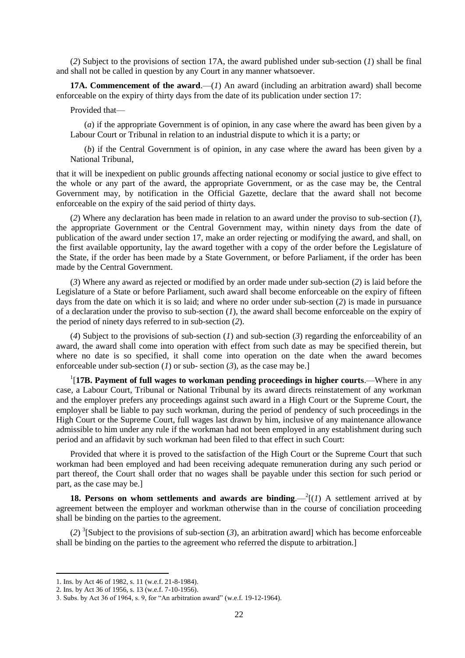(*2*) Subject to the provisions of section 17A, the award published under sub-section (*1*) shall be final and shall not be called in question by any Court in any manner whatsoever.

**17A. Commencement of the award.**—(*1*) An award (including an arbitration award) shall become enforceable on the expiry of thirty days from the date of its publication under section 17:

Provided that—

(*a*) if the appropriate Government is of opinion, in any case where the award has been given by a Labour Court or Tribunal in relation to an industrial dispute to which it is a party; or

(*b*) if the Central Government is of opinion, in any case where the award has been given by a National Tribunal,

that it will be inexpedient on public grounds affecting national economy or social justice to give effect to the whole or any part of the award, the appropriate Government, or as the case may be, the Central Government may, by notification in the Official Gazette, declare that the award shall not become enforceable on the expiry of the said period of thirty days.

(*2*) Where any declaration has been made in relation to an award under the proviso to sub-section (*1*), the appropriate Government or the Central Government may, within ninety days from the date of publication of the award under section 17, make an order rejecting or modifying the award, and shall, on the first available opportunity, lay the award together with a copy of the order before the Legislature of the State, if the order has been made by a State Government, or before Parliament, if the order has been made by the Central Government.

(*3*) Where any award as rejected or modified by an order made under sub-section (*2*) is laid before the Legislature of a State or before Parliament, such award shall become enforceable on the expiry of fifteen days from the date on which it is so laid; and where no order under sub-section (*2*) is made in pursuance of a declaration under the proviso to sub-section (*1*), the award shall become enforceable on the expiry of the period of ninety days referred to in sub-section (*2*).

(*4*) Subject to the provisions of sub-section (*1*) and sub-section (*3*) regarding the enforceability of an award, the award shall come into operation with effect from such date as may be specified therein, but where no date is so specified, it shall come into operation on the date when the award becomes enforceable under sub-section (*1*) or sub- section (*3*), as the case may be.]

<sup>1</sup>[17B. Payment of full wages to workman pending proceedings in higher courts.—Where in any case, a Labour Court, Tribunal or National Tribunal by its award directs reinstatement of any workman and the employer prefers any proceedings against such award in a High Court or the Supreme Court, the employer shall be liable to pay such workman, during the period of pendency of such proceedings in the High Court or the Supreme Court, full wages last drawn by him, inclusive of any maintenance allowance admissible to him under any rule if the workman had not been employed in any establishment during such period and an affidavit by such workman had been filed to that effect in such Court:

Provided that where it is proved to the satisfaction of the High Court or the Supreme Court that such workman had been employed and had been receiving adequate remuneration during any such period or part thereof, the Court shall order that no wages shall be payable under this section for such period or part, as the case may be.]

**18. Persons on whom settlements and awards are binding.**  $-\frac{2}{l}(l)$  **A settlement arrived at by** agreement between the employer and workman otherwise than in the course of conciliation proceeding shall be binding on the parties to the agreement.

(2) <sup>3</sup>[Subject to the provisions of sub-section (3), an arbitration award] which has become enforceable shall be binding on the parties to the agreement who referred the dispute to arbitration.]

<sup>1.</sup> Ins. by Act 46 of 1982, s. 11 (w.e.f. 21-8-1984).

<sup>2.</sup> Ins. by Act 36 of 1956, s. 13 (w.e.f. 7-10-1956).

<sup>3.</sup> Subs. by Act 36 of 1964, s. 9, for "An arbitration award" (w.e.f. 19-12-1964).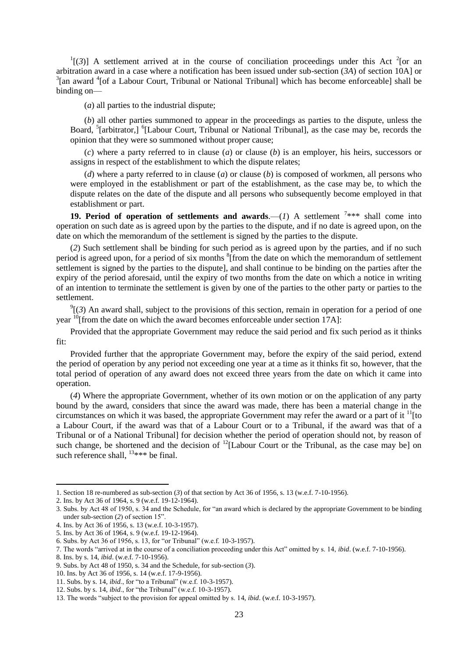$\frac{1}{3}$ [(3)] A settlement arrived at in the course of conciliation proceedings under this Act <sup>2</sup>[or an arbitration award in a case where a notification has been issued under sub-section (*3A*) of section 10A] or  $3$ [an award  $4$ [of a Labour Court, Tribunal or National Tribunal] which has become enforceable] shall be binding on—

(*a*) all parties to the industrial dispute;

(*b*) all other parties summoned to appear in the proceedings as parties to the dispute, unless the Board, <sup>5</sup>[arbitrator,] <sup>6</sup>[Labour Court, Tribunal or National Tribunal], as the case may be, records the opinion that they were so summoned without proper cause;

(*c*) where a party referred to in clause (*a*) or clause (*b*) is an employer, his heirs, successors or assigns in respect of the establishment to which the dispute relates;

(*d*) where a party referred to in clause (*a*) or clause (*b*) is composed of workmen, all persons who were employed in the establishment or part of the establishment, as the case may be, to which the dispute relates on the date of the dispute and all persons who subsequently become employed in that establishment or part.

**19. Period of operation of settlements and awards.**  $-(1)$  **A settlement <sup>7\*\*\*</sup> shall come into** operation on such date as is agreed upon by the parties to the dispute, and if no date is agreed upon, on the date on which the memorandum of the settlement is signed by the parties to the dispute.

(*2*) Such settlement shall be binding for such period as is agreed upon by the parties, and if no such period is agreed upon, for a period of six months <sup>8</sup> from the date on which the memorandum of settlement settlement is signed by the parties to the dispute], and shall continue to be binding on the parties after the expiry of the period aforesaid, until the expiry of two months from the date on which a notice in writing of an intention to terminate the settlement is given by one of the parties to the other party or parties to the settlement.

 $\mathcal{P}(\mathcal{A})$  An award shall, subject to the provisions of this section, remain in operation for a period of one year <sup>10</sup>[from the date on which the award becomes enforceable under section 17A]:

Provided that the appropriate Government may reduce the said period and fix such period as it thinks fit:

Provided further that the appropriate Government may, before the expiry of the said period, extend the period of operation by any period not exceeding one year at a time as it thinks fit so, however, that the total period of operation of any award does not exceed three years from the date on which it came into operation.

(*4*) Where the appropriate Government, whether of its own motion or on the application of any party bound by the award, considers that since the award was made, there has been a material change in the circumstances on which it was based, the appropriate Government may refer the award or a part of it  $\frac{11}{1}$ [to a Labour Court, if the award was that of a Labour Court or to a Tribunal, if the award was that of a Tribunal or of a National Tribunal] for decision whether the period of operation should not, by reason of such change, be shortened and the decision of  $^{12}$ [Labour Court or the Tribunal, as the case may be] on such reference shall,  $13***$  be final.

<sup>1.</sup> Section 18 re-numbered as sub-section (*3*) of that section by Act 36 of 1956, s. 13 (w.e.f. 7-10-1956).

<sup>2.</sup> Ins. by Act 36 of 1964, s. 9 (w.e.f. 19-12-1964).

<sup>3.</sup> Subs. by Act 48 of 1950, s. 34 and the Schedule, for "an award which is declared by the appropriate Government to be binding under sub-section (*2*) of section 15".

<sup>4.</sup> Ins. by Act 36 of 1956, s. 13 (w.e.f. 10-3-1957).

<sup>5.</sup> Ins. by Act 36 of 1964, s. 9 (w.e.f. 19-12-1964).

<sup>6.</sup> Subs. by Act 36 of 1956, s. 13, for "or Tribunal" (w.e.f. 10-3-1957).

<sup>7.</sup> The words "arrived at in the course of a conciliation proceeding under this Act" omitted by s. 14, *ibid*. (w.e.f. 7-10-1956).

<sup>8.</sup> Ins. by s. 14, *ibid*. (w.e.f. 7-10-1956).

<sup>9.</sup> Subs. by Act 48 of 1950, s. 34 and the Schedule, for sub-section (*3*).

<sup>10.</sup> Ins. by Act 36 of 1956, s. 14 (w.e.f. 17-9-1956).

<sup>11.</sup> Subs. by s. 14, *ibid*., for "to a Tribunal" (w.e.f. 10-3-1957).

<sup>12.</sup> Subs. by s. 14, *ibid*., for "the Tribunal" (w.e.f. 10-3-1957).

<sup>13.</sup> The words "subject to the provision for appeal omitted by s. 14, *ibid*. (w.e.f. 10-3-1957).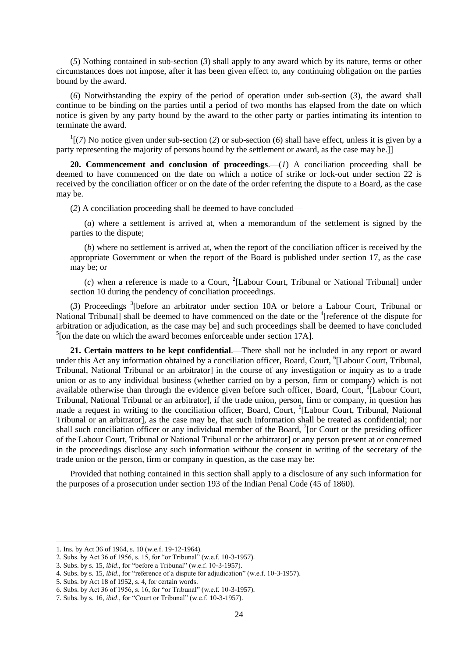(*5*) Nothing contained in sub-section (*3*) shall apply to any award which by its nature, terms or other circumstances does not impose, after it has been given effect to, any continuing obligation on the parties bound by the award.

(*6*) Notwithstanding the expiry of the period of operation under sub-section (*3*), the award shall continue to be binding on the parties until a period of two months has elapsed from the date on which notice is given by any party bound by the award to the other party or parties intimating its intention to terminate the award.

 $\frac{1}{2}$  (*7*) No notice given under sub-section (*2*) or sub-section (*6*) shall have effect, unless it is given by a party representing the majority of persons bound by the settlement or award, as the case may be.]]

**20. Commencement and conclusion of proceedings**.—(*1*) A conciliation proceeding shall be deemed to have commenced on the date on which a notice of strike or lock-out under section 22 is received by the conciliation officer or on the date of the order referring the dispute to a Board, as the case may be.

(*2*) A conciliation proceeding shall be deemed to have concluded—

(*a*) where a settlement is arrived at, when a memorandum of the settlement is signed by the parties to the dispute;

(*b*) where no settlement is arrived at, when the report of the conciliation officer is received by the appropriate Government or when the report of the Board is published under section 17, as the case may be; or

 $(c)$  when a reference is made to a Court, <sup>2</sup>[Labour Court, Tribunal or National Tribunal] under section 10 during the pendency of conciliation proceedings.

(*3*) Proceedings <sup>3</sup> [before an arbitrator under section 10A or before a Labour Court, Tribunal or National Tribunal] shall be deemed to have commenced on the date or the <sup>4</sup>[reference of the dispute for arbitration or adjudication, as the case may be] and such proceedings shall be deemed to have concluded  $<sup>5</sup>$ [on the date on which the award becomes enforceable under section 17A].</sup>

**21. Certain matters to be kept confidential**.—There shall not be included in any report or award under this Act any information obtained by a conciliation officer, Board, Court, <sup>6</sup>[Labour Court, Tribunal, Tribunal, National Tribunal or an arbitrator] in the course of any investigation or inquiry as to a trade union or as to any individual business (whether carried on by a person, firm or company) which is not available otherwise than through the evidence given before such officer, Board, Court, <sup>6</sup>[Labour Court, Tribunal, National Tribunal or an arbitrator], if the trade union, person, firm or company, in question has made a request in writing to the conciliation officer, Board, Court, <sup>6</sup>[Labour Court, Tribunal, National Tribunal or an arbitrator], as the case may be, that such information shall be treated as confidential; nor shall such conciliation officer or any individual member of the Board,  $\frac{7}{1}$  [or Court or the presiding officer of the Labour Court, Tribunal or National Tribunal or the arbitrator] or any person present at or concerned in the proceedings disclose any such information without the consent in writing of the secretary of the trade union or the person, firm or company in question, as the case may be:

Provided that nothing contained in this section shall apply to a disclosure of any such information for the purposes of a prosecution under section 193 of the Indian Penal Code (45 of 1860).

<sup>1.</sup> Ins. by Act 36 of 1964, s. 10 (w.e.f. 19-12-1964).

<sup>2.</sup> Subs. by Act 36 of 1956, s. 15, for "or Tribunal" (w.e.f. 10-3-1957).

<sup>3.</sup> Subs. by s. 15, *ibid*., for "before a Tribunal" (w.e.f. 10-3-1957).

<sup>4.</sup> Subs. by s. 15, *ibid*., for "reference of a dispute for adjudication" (w.e.f. 10-3-1957).

<sup>5.</sup> Subs. by Act 18 of 1952, s. 4, for certain words.

<sup>6.</sup> Subs. by Act 36 of 1956, s. 16, for "or Tribunal" (w.e.f. 10-3-1957).

<sup>7.</sup> Subs. by s. 16, *ibid*., for "Court or Tribunal" (w.e.f. 10-3-1957).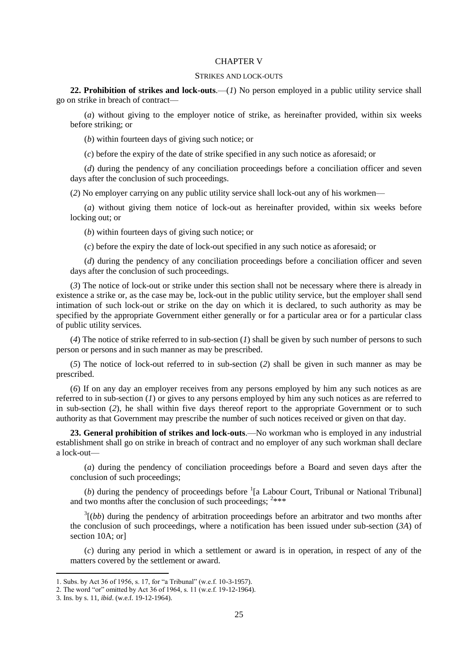#### CHAPTER V

#### STRIKES AND LOCK-OUTS

**22. Prohibition of strikes and lock-outs**.—(*1*) No person employed in a public utility service shall go on strike in breach of contract—

(*a*) without giving to the employer notice of strike, as hereinafter provided, within six weeks before striking; or

(*b*) within fourteen days of giving such notice; or

(*c*) before the expiry of the date of strike specified in any such notice as aforesaid; or

(*d*) during the pendency of any conciliation proceedings before a conciliation officer and seven days after the conclusion of such proceedings.

(*2*) No employer carrying on any public utility service shall lock-out any of his workmen—

(*a*) without giving them notice of lock-out as hereinafter provided, within six weeks before locking out; or

(*b*) within fourteen days of giving such notice; or

(*c*) before the expiry the date of lock-out specified in any such notice as aforesaid; or

(*d*) during the pendency of any conciliation proceedings before a conciliation officer and seven days after the conclusion of such proceedings.

(*3*) The notice of lock-out or strike under this section shall not be necessary where there is already in existence a strike or, as the case may be, lock-out in the public utility service, but the employer shall send intimation of such lock-out or strike on the day on which it is declared, to such authority as may be specified by the appropriate Government either generally or for a particular area or for a particular class of public utility services.

(*4*) The notice of strike referred to in sub-section (*1*) shall be given by such number of persons to such person or persons and in such manner as may be prescribed.

(*5*) The notice of lock-out referred to in sub-section (*2*) shall be given in such manner as may be prescribed.

(*6*) If on any day an employer receives from any persons employed by him any such notices as are referred to in sub-section (*1*) or gives to any persons employed by him any such notices as are referred to in sub-section (*2*), he shall within five days thereof report to the appropriate Government or to such authority as that Government may prescribe the number of such notices received or given on that day.

**23. General prohibition of strikes and lock-outs**.—No workman who is employed in any industrial establishment shall go on strike in breach of contract and no employer of any such workman shall declare a lock-out—

(*a*) during the pendency of conciliation proceedings before a Board and seven days after the conclusion of such proceedings;

(b) during the pendency of proceedings before  ${}^{1}[a$  Labour Court, Tribunal or National Tribunal] and two months after the conclusion of such proceedings;  $2***$ 

 $3[(bb)$  during the pendency of arbitration proceedings before an arbitrator and two months after the conclusion of such proceedings, where a notification has been issued under sub-section (*3A*) of section 10A; orl

(*c*) during any period in which a settlement or award is in operation, in respect of any of the matters covered by the settlement or award.

<sup>1.</sup> Subs. by Act 36 of 1956, s. 17, for "a Tribunal" (w.e.f. 10-3-1957).

<sup>2.</sup> The word "or" omitted by Act 36 of 1964, s. 11 (w.e.f. 19-12-1964).

<sup>3.</sup> Ins. by s. 11, *ibid*. (w.e.f. 19-12-1964).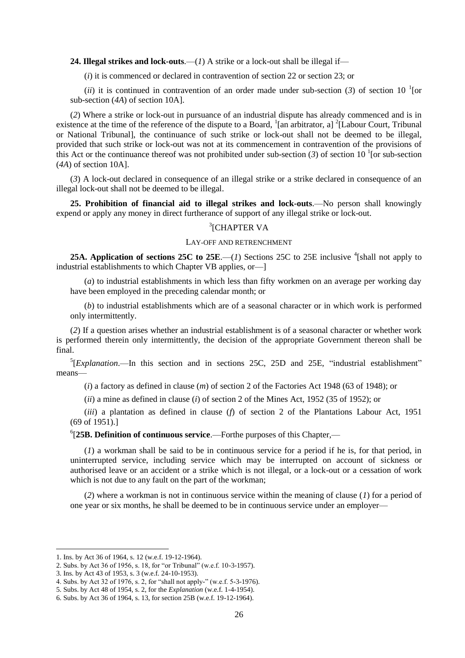**24. Illegal strikes and lock-outs**.—(*1*) A strike or a lock-out shall be illegal if—

(*i*) it is commenced or declared in contravention of section 22 or section 23; or

(*ii*) it is continued in contravention of an order made under sub-section (3) of section 10<sup>-1</sup>[or sub-section (*4A*) of section 10A].

(*2*) Where a strike or lock-out in pursuance of an industrial dispute has already commenced and is in existence at the time of the reference of the dispute to a Board,  $\frac{1}{2}$  [an arbitrator, a]  $\frac{2}{2}$ [Labour Court, Tribunal or National Tribunal], the continuance of such strike or lock-out shall not be deemed to be illegal, provided that such strike or lock-out was not at its commencement in contravention of the provisions of this Act or the continuance thereof was not prohibited under sub-section  $(3)$  of section 10<sup>1</sup> [or sub-section (*4A*) of section 10A].

(*3*) A lock-out declared in consequence of an illegal strike or a strike declared in consequence of an illegal lock-out shall not be deemed to be illegal.

**25. Prohibition of financial aid to illegal strikes and lock-outs**.—No person shall knowingly expend or apply any money in direct furtherance of support of any illegal strike or lock-out.

# 3 [CHAPTER VA

#### LAY-OFF AND RETRENCHMENT

**25A. Application of sections 25C to 25E.**—(*1*) Sections 25C to 25E inclusive  ${}^4$ [shall not apply to industrial establishments to which Chapter VB applies, or—]

(*a*) to industrial establishments in which less than fifty workmen on an average per working day have been employed in the preceding calendar month; or

(*b*) to industrial establishments which are of a seasonal character or in which work is performed only intermittently.

(*2*) If a question arises whether an industrial establishment is of a seasonal character or whether work is performed therein only intermittently, the decision of the appropriate Government thereon shall be final.

<sup>5</sup>[*Explanation*.—In this section and in sections 25C, 25D and 25E, "industrial establishment" means—

(*i*) a factory as defined in clause (*m*) of section 2 of the Factories Act 1948 (63 of 1948); or

(*ii*) a mine as defined in clause (*i*) of section 2 of the Mines Act, 1952 (35 of 1952); or

(*iii*) a plantation as defined in clause (*f*) of section 2 of the Plantations Labour Act, 1951 (69 of 1951).]

# 6 [**25B. Definition of continuous service**.—Forthe purposes of this Chapter,—

(*1*) a workman shall be said to be in continuous service for a period if he is, for that period, in uninterrupted service, including service which may be interrupted on account of sickness or authorised leave or an accident or a strike which is not illegal, or a lock-out or a cessation of work which is not due to any fault on the part of the workman;

(*2*) where a workman is not in continuous service within the meaning of clause (*1*) for a period of one year or six months, he shall be deemed to be in continuous service under an employer—

<sup>1.</sup> Ins. by Act 36 of 1964, s. 12 (w.e.f. 19-12-1964).

<sup>2.</sup> Subs. by Act 36 of 1956, s. 18, for "or Tribunal" (w.e.f. 10-3-1957).

<sup>3.</sup> Ins. by Act 43 of 1953, s. 3 (w.e.f. 24-10-1953).

<sup>4.</sup> Subs. by Act 32 of 1976, s. 2, for "shall not apply-" (w.e.f. 5-3-1976).

<sup>5.</sup> Subs. by Act 48 of 1954, s. 2, for the *Explanation* (w.e.f. 1-4-1954).

<sup>6.</sup> Subs. by Act 36 of 1964, s. 13, for section 25B (w.e.f. 19-12-1964).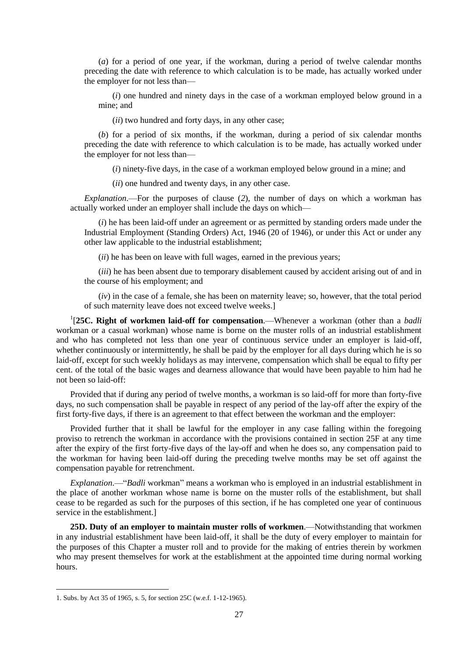(*a*) for a period of one year, if the workman, during a period of twelve calendar months preceding the date with reference to which calculation is to be made, has actually worked under the employer for not less than—

(*i*) one hundred and ninety days in the case of a workman employed below ground in a mine; and

(*ii*) two hundred and forty days, in any other case;

(*b*) for a period of six months, if the workman, during a period of six calendar months preceding the date with reference to which calculation is to be made, has actually worked under the employer for not less than—

(*i*) ninety-five days, in the case of a workman employed below ground in a mine; and

(*ii*) one hundred and twenty days, in any other case.

*Explanation*.—For the purposes of clause (*2*), the number of days on which a workman has actually worked under an employer shall include the days on which—

(*i*) he has been laid-off under an agreement or as permitted by standing orders made under the Industrial Employment (Standing Orders) Act, 1946 (20 of 1946), or under this Act or under any other law applicable to the industrial establishment;

(*ii*) he has been on leave with full wages, earned in the previous years;

(*iii*) he has been absent due to temporary disablement caused by accident arising out of and in the course of his employment; and

(*iv*) in the case of a female, she has been on maternity leave; so, however, that the total period of such maternity leave does not exceed twelve weeks.]

<sup>1</sup>[25C. Right of workmen laid-off for compensation.—Whenever a workman (other than a *badli* workman or a casual workman) whose name is borne on the muster rolls of an industrial establishment and who has completed not less than one year of continuous service under an employer is laid-off, whether continuously or intermittently, he shall be paid by the employer for all days during which he is so laid-off, except for such weekly holidays as may intervene, compensation which shall be equal to fifty per cent. of the total of the basic wages and dearness allowance that would have been payable to him had he not been so laid-off:

Provided that if during any period of twelve months, a workman is so laid-off for more than forty-five days, no such compensation shall be payable in respect of any period of the lay-off after the expiry of the first forty-five days, if there is an agreement to that effect between the workman and the employer:

Provided further that it shall be lawful for the employer in any case falling within the foregoing proviso to retrench the workman in accordance with the provisions contained in section 25F at any time after the expiry of the first forty-five days of the lay-off and when he does so, any compensation paid to the workman for having been laid-off during the preceding twelve months may be set off against the compensation payable for retrenchment.

*Explanation*.—"*Badli* workman" means a workman who is employed in an industrial establishment in the place of another workman whose name is borne on the muster rolls of the establishment, but shall cease to be regarded as such for the purposes of this section, if he has completed one year of continuous service in the establishment.]

**25D. Duty of an employer to maintain muster rolls of workmen**.—Notwithstanding that workmen in any industrial establishment have been laid-off, it shall be the duty of every employer to maintain for the purposes of this Chapter a muster roll and to provide for the making of entries therein by workmen who may present themselves for work at the establishment at the appointed time during normal working hours.

<sup>1.</sup> Subs. by Act 35 of 1965, s. 5, for section 25C (w.e.f. 1-12-1965).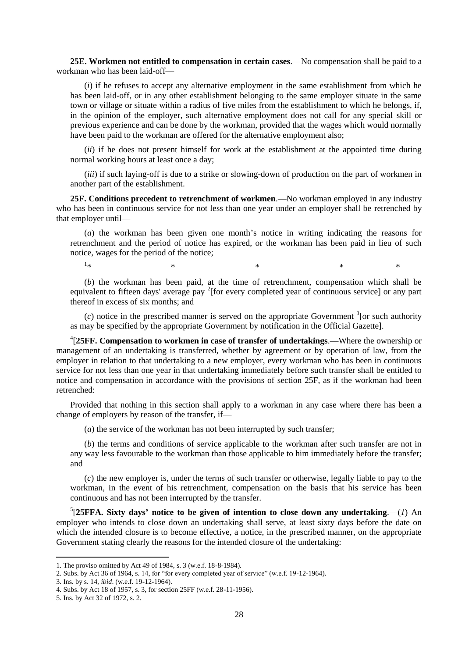**25E. Workmen not entitled to compensation in certain cases**.—No compensation shall be paid to a workman who has been laid-off—

(*i*) if he refuses to accept any alternative employment in the same establishment from which he has been laid-off, or in any other establishment belonging to the same employer situate in the same town or village or situate within a radius of five miles from the establishment to which he belongs, if, in the opinion of the employer, such alternative employment does not call for any special skill or previous experience and can be done by the workman, provided that the wages which would normally have been paid to the workman are offered for the alternative employment also;

(*ii*) if he does not present himself for work at the establishment at the appointed time during normal working hours at least once a day;

(*iii*) if such laying-off is due to a strike or slowing-down of production on the part of workmen in another part of the establishment.

**25F. Conditions precedent to retrenchment of workmen**.—No workman employed in any industry who has been in continuous service for not less than one year under an employer shall be retrenched by that employer until—

(*a*) the workman has been given one month's notice in writing indicating the reasons for retrenchment and the period of notice has expired, or the workman has been paid in lieu of such notice, wages for the period of the notice;

 $1_{\ast}$  $*$   $*$   $*$   $*$   $*$   $*$ 

(*b*) the workman has been paid, at the time of retrenchment, compensation which shall be equivalent to fifteen days' average pay  $2$ [for every completed year of continuous service] or any part thereof in excess of six months; and

 $(c)$  notice in the prescribed manner is served on the appropriate Government  ${}^{3}$  [or such authority as may be specified by the appropriate Government by notification in the Official Gazette].

4 [**25FF. Compensation to workmen in case of transfer of undertakings**.—Where the ownership or management of an undertaking is transferred, whether by agreement or by operation of law, from the employer in relation to that undertaking to a new employer, every workman who has been in continuous service for not less than one year in that undertaking immediately before such transfer shall be entitled to notice and compensation in accordance with the provisions of section 25F, as if the workman had been retrenched:

Provided that nothing in this section shall apply to a workman in any case where there has been a change of employers by reason of the transfer, if—

(*a*) the service of the workman has not been interrupted by such transfer;

(*b*) the terms and conditions of service applicable to the workman after such transfer are not in any way less favourable to the workman than those applicable to him immediately before the transfer; and

(*c*) the new employer is, under the terms of such transfer or otherwise, legally liable to pay to the workman, in the event of his retrenchment, compensation on the basis that his service has been continuous and has not been interrupted by the transfer.

 $^{5}$ [25FFA. Sixty days' notice to be given of intention to close down any undertaking.—(1) An employer who intends to close down an undertaking shall serve, at least sixty days before the date on which the intended closure is to become effective, a notice, in the prescribed manner, on the appropriate Government stating clearly the reasons for the intended closure of the undertaking:

3. Ins. by s. 14, *ibid*. (w.e.f. 19-12-1964).

<sup>1.</sup> The proviso omitted by Act 49 of 1984, s. 3 (w.e.f. 18-8-1984).

<sup>2.</sup> Subs. by Act 36 of 1964, s. 14, for "for every completed year of service" (w.e.f. 19-12-1964).

<sup>4.</sup> Subs. by Act 18 of 1957, s. 3, for section 25FF (w.e.f. 28-11-1956).

<sup>5.</sup> Ins. by Act 32 of 1972, s. 2.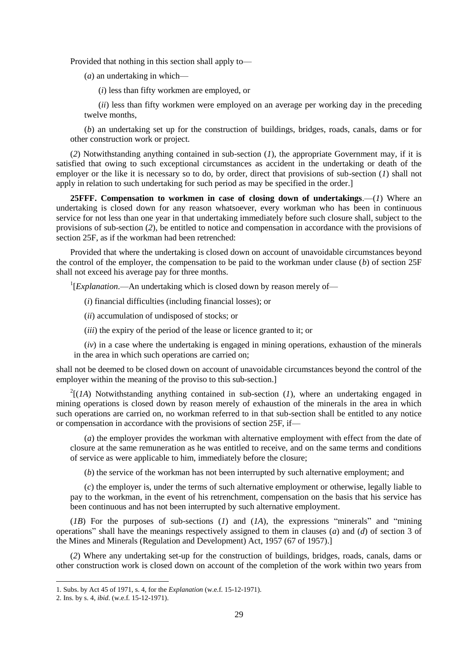Provided that nothing in this section shall apply to—

(*a*) an undertaking in which—

(*i*) less than fifty workmen are employed, or

(*ii*) less than fifty workmen were employed on an average per working day in the preceding twelve months,

(*b*) an undertaking set up for the construction of buildings, bridges, roads, canals, dams or for other construction work or project.

(*2*) Notwithstanding anything contained in sub-section (*1*), the appropriate Government may, if it is satisfied that owing to such exceptional circumstances as accident in the undertaking or death of the employer or the like it is necessary so to do, by order, direct that provisions of sub-section (*1*) shall not apply in relation to such undertaking for such period as may be specified in the order.]

**25FFF. Compensation to workmen in case of closing down of undertakings**.—(*1*) Where an undertaking is closed down for any reason whatsoever, every workman who has been in continuous service for not less than one year in that undertaking immediately before such closure shall, subject to the provisions of sub-section (*2*), be entitled to notice and compensation in accordance with the provisions of section 25F, as if the workman had been retrenched:

Provided that where the undertaking is closed down on account of unavoidable circumstances beyond the control of the employer, the compensation to be paid to the workman under clause (*b*) of section 25F shall not exceed his average pay for three months.

<sup>1</sup>[*Explanation*.—An undertaking which is closed down by reason merely of—

(*i*) financial difficulties (including financial losses); or

(*ii*) accumulation of undisposed of stocks; or

(*iii*) the expiry of the period of the lease or licence granted to it; or

(*iv*) in a case where the undertaking is engaged in mining operations, exhaustion of the minerals in the area in which such operations are carried on;

shall not be deemed to be closed down on account of unavoidable circumstances beyond the control of the employer within the meaning of the proviso to this sub-section.]

 $2[(1A)$  Notwithstanding anything contained in sub-section (1), where an undertaking engaged in mining operations is closed down by reason merely of exhaustion of the minerals in the area in which such operations are carried on, no workman referred to in that sub-section shall be entitled to any notice or compensation in accordance with the provisions of section 25F, if—

(*a*) the employer provides the workman with alternative employment with effect from the date of closure at the same remuneration as he was entitled to receive, and on the same terms and conditions of service as were applicable to him, immediately before the closure;

(*b*) the service of the workman has not been interrupted by such alternative employment; and

(*c*) the employer is, under the terms of such alternative employment or otherwise, legally liable to pay to the workman, in the event of his retrenchment, compensation on the basis that his service has been continuous and has not been interrupted by such alternative employment.

(*1B*) For the purposes of sub-sections (*1*) and (*1A*), the expressions "minerals" and "mining operations" shall have the meanings respectively assigned to them in clauses (*a*) and (*d*) of section 3 of the Mines and Minerals (Regulation and Development) Act, 1957 (67 of 1957).]

(*2*) Where any undertaking set-up for the construction of buildings, bridges, roads, canals, dams or other construction work is closed down on account of the completion of the work within two years from

<sup>1.</sup> Subs. by Act 45 of 1971, s. 4, for the *Explanation* (w.e.f. 15-12-1971).

<sup>2.</sup> Ins. by s. 4, *ibid*. (w.e.f. 15-12-1971).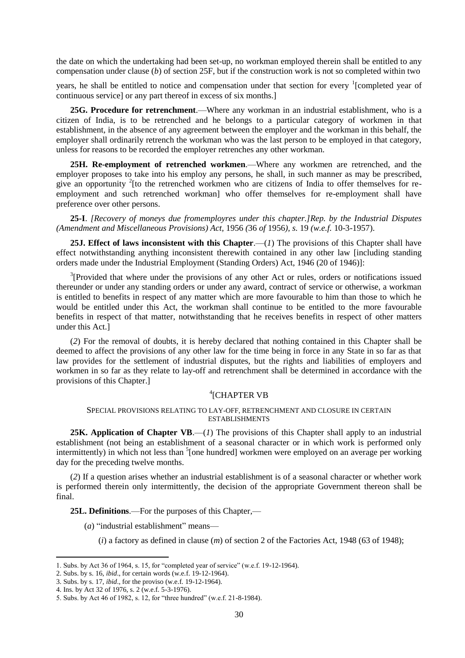the date on which the undertaking had been set-up, no workman employed therein shall be entitled to any compensation under clause (*b*) of section 25F, but if the construction work is not so completed within two

years, he shall be entitled to notice and compensation under that section for every <sup>1</sup>[completed year of continuous service] or any part thereof in excess of six months.]

**25G. Procedure for retrenchment**.—Where any workman in an industrial establishment, who is a citizen of India, is to be retrenched and he belongs to a particular category of workmen in that establishment, in the absence of any agreement between the employer and the workman in this behalf, the employer shall ordinarily retrench the workman who was the last person to be employed in that category, unless for reasons to be recorded the employer retrenches any other workman.

**25H. Re-employment of retrenched workmen**.—Where any workmen are retrenched, and the employer proposes to take into his employ any persons, he shall, in such manner as may be prescribed, give an opportunity <sup>2</sup> [to the retrenched workmen who are citizens of India to offer themselves for reemployment and such retrenched workman] who offer themselves for re-employment shall have preference over other persons.

**25-I**. *[Recovery of moneys due fromemployres under this chapter.]Rep. by the Industrial Disputes (Amendment and Miscellaneous Provisions) Act,* 1956 *(*36 *of* 1956*), s.* 19 *(w.e.f.* 10-3-1957).

**25J. Effect of laws inconsistent with this Chapter.**—(*1*) The provisions of this Chapter shall have effect notwithstanding anything inconsistent therewith contained in any other law [including standing orders made under the Industrial Employment (Standing Orders) Act, 1946 (20 of 1946)]:

 $3$ [Provided that where under the provisions of any other Act or rules, orders or notifications issued thereunder or under any standing orders or under any award, contract of service or otherwise, a workman is entitled to benefits in respect of any matter which are more favourable to him than those to which he would be entitled under this Act, the workman shall continue to be entitled to the more favourable benefits in respect of that matter, notwithstanding that he receives benefits in respect of other matters under this Act.]

(*2*) For the removal of doubts, it is hereby declared that nothing contained in this Chapter shall be deemed to affect the provisions of any other law for the time being in force in any State in so far as that law provides for the settlement of industrial disputes, but the rights and liabilities of employers and workmen in so far as they relate to lay-off and retrenchment shall be determined in accordance with the provisions of this Chapter.]

# 4 [CHAPTER VB

### SPECIAL PROVISIONS RELATING TO LAY-OFF, RETRENCHMENT AND CLOSURE IN CERTAIN ESTABLISHMENTS

**25K. Application of Chapter VB**.—(*1*) The provisions of this Chapter shall apply to an industrial establishment (not being an establishment of a seasonal character or in which work is performed only intermittently) in which not less than <sup>5</sup>[one hundred] workmen were employed on an average per working day for the preceding twelve months.

(*2*) If a question arises whether an industrial establishment is of a seasonal character or whether work is performed therein only intermittently, the decision of the appropriate Government thereon shall be final.

**25L. Definitions**.—For the purposes of this Chapter,—

(*a*) "industrial establishment" means—

(*i*) a factory as defined in clause (*m*) of section 2 of the Factories Act, 1948 (63 of 1948);

<sup>1.</sup> Subs. by Act 36 of 1964, s. 15, for "completed year of service" (w.e.f. 19-12-1964).

<sup>2.</sup> Subs. by s. 16, *ibid*., for certain words (w.e.f. 19-12-1964).

<sup>3.</sup> Subs. by s. 17, *ibid*., for the proviso (w.e.f. 19-12-1964).

<sup>4.</sup> Ins. by Act 32 of 1976, s. 2 (w.e.f. 5-3-1976).

<sup>5.</sup> Subs. by Act 46 of 1982, s. 12, for "three hundred" (w.e.f. 21-8-1984).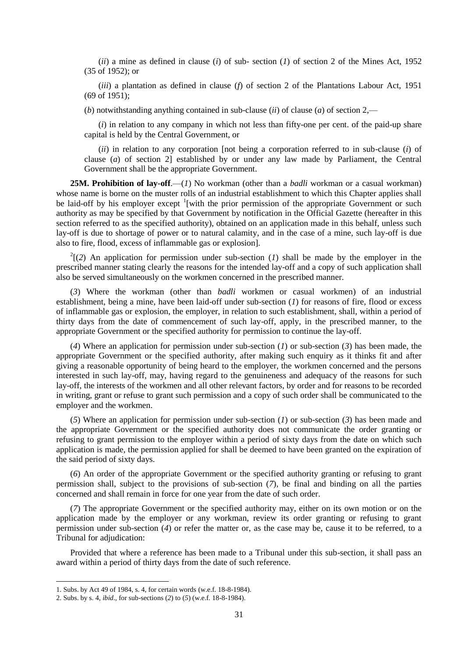(*ii*) a mine as defined in clause (*i*) of sub- section (*1*) of section 2 of the Mines Act, 1952 (35 of 1952); or

(*iii*) a plantation as defined in clause (*f*) of section 2 of the Plantations Labour Act, 1951 (69 of 1951);

(*b*) notwithstanding anything contained in sub-clause (*ii*) of clause (*a*) of section 2,—

(*i*) in relation to any company in which not less than fifty-one per cent. of the paid-up share capital is held by the Central Government, or

(*ii*) in relation to any corporation [not being a corporation referred to in sub-clause (*i*) of clause (*a*) of section 2] established by or under any law made by Parliament, the Central Government shall be the appropriate Government.

**25M. Prohibition of lay-off**.—(*1*) No workman (other than a *badli* workman or a casual workman) whose name is borne on the muster rolls of an industrial establishment to which this Chapter applies shall be laid-off by his employer except  $\frac{1}{2}$  [with the prior permission of the appropriate Government or such authority as may be specified by that Government by notification in the Official Gazette (hereafter in this section referred to as the specified authority), obtained on an application made in this behalf, unless such lay-off is due to shortage of power or to natural calamity, and in the case of a mine, such lay-off is due also to fire, flood, excess of inflammable gas or explosion].

 $2(2)$  An application for permission under sub-section (*1*) shall be made by the employer in the prescribed manner stating clearly the reasons for the intended lay-off and a copy of such application shall also be served simultaneously on the workmen concerned in the prescribed manner.

(*3*) Where the workman (other than *badli* workmen or casual workmen) of an industrial establishment, being a mine, have been laid-off under sub-section (*1*) for reasons of fire, flood or excess of inflammable gas or explosion, the employer, in relation to such establishment, shall, within a period of thirty days from the date of commencement of such lay-off, apply, in the prescribed manner, to the appropriate Government or the specified authority for permission to continue the lay-off.

(*4*) Where an application for permission under sub-section (*1*) or sub-section (*3*) has been made, the appropriate Government or the specified authority, after making such enquiry as it thinks fit and after giving a reasonable opportunity of being heard to the employer, the workmen concerned and the persons interested in such lay-off, may, having regard to the genuineness and adequacy of the reasons for such lay-off, the interests of the workmen and all other relevant factors, by order and for reasons to be recorded in writing, grant or refuse to grant such permission and a copy of such order shall be communicated to the employer and the workmen.

(*5*) Where an application for permission under sub-section (*1*) or sub-section (*3*) has been made and the appropriate Government or the specified authority does not communicate the order granting or refusing to grant permission to the employer within a period of sixty days from the date on which such application is made, the permission applied for shall be deemed to have been granted on the expiration of the said period of sixty days.

(*6*) An order of the appropriate Government or the specified authority granting or refusing to grant permission shall, subject to the provisions of sub-section (*7*), be final and binding on all the parties concerned and shall remain in force for one year from the date of such order.

(*7*) The appropriate Government or the specified authority may, either on its own motion or on the application made by the employer or any workman, review its order granting or refusing to grant permission under sub-section (*4*) or refer the matter or, as the case may be, cause it to be referred, to a Tribunal for adjudication:

Provided that where a reference has been made to a Tribunal under this sub-section, it shall pass an award within a period of thirty days from the date of such reference.

<sup>1.</sup> Subs. by Act 49 of 1984, s. 4, for certain words (w.e.f. 18-8-1984).

<sup>2.</sup> Subs. by s. 4, *ibid*., for sub-sections (*2*) to (*5*) (w.e.f. 18-8-1984).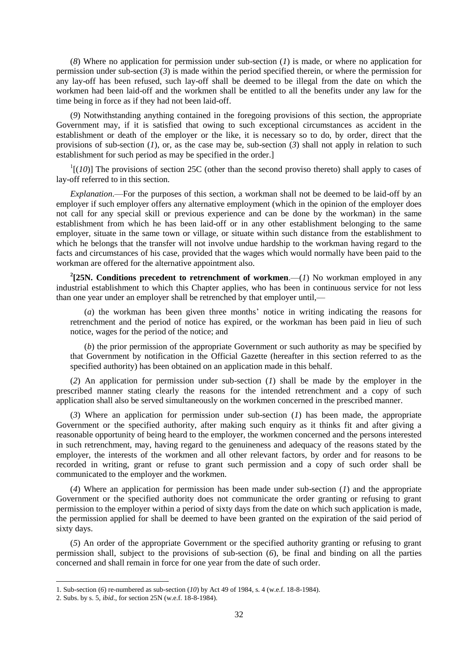(*8*) Where no application for permission under sub-section (*1*) is made, or where no application for permission under sub-section (*3*) is made within the period specified therein, or where the permission for any lay-off has been refused, such lay-off shall be deemed to be illegal from the date on which the workmen had been laid-off and the workmen shall be entitled to all the benefits under any law for the time being in force as if they had not been laid-off.

(*9*) Notwithstanding anything contained in the foregoing provisions of this section, the appropriate Government may, if it is satisfied that owing to such exceptional circumstances as accident in the establishment or death of the employer or the like, it is necessary so to do, by order, direct that the provisions of sub-section (*1*), or, as the case may be, sub-section (*3*) shall not apply in relation to such establishment for such period as may be specified in the order.]

 $\frac{1}{1}$ [(*10*)] The provisions of section 25C (other than the second proviso thereto) shall apply to cases of lay-off referred to in this section.

*Explanation*.—For the purposes of this section, a workman shall not be deemed to be laid-off by an employer if such employer offers any alternative employment (which in the opinion of the employer does not call for any special skill or previous experience and can be done by the workman) in the same establishment from which he has been laid-off or in any other establishment belonging to the same employer, situate in the same town or village, or situate within such distance from the establishment to which he belongs that the transfer will not involve undue hardship to the workman having regard to the facts and circumstances of his case, provided that the wages which would normally have been paid to the workman are offered for the alternative appointment also.

<sup>2</sup>[25N. Conditions precedent to retrenchment of workmen.—(*1*) No workman employed in any industrial establishment to which this Chapter applies, who has been in continuous service for not less than one year under an employer shall be retrenched by that employer until,-

(*a*) the workman has been given three months' notice in writing indicating the reasons for retrenchment and the period of notice has expired, or the workman has been paid in lieu of such notice, wages for the period of the notice; and

(*b*) the prior permission of the appropriate Government or such authority as may be specified by that Government by notification in the Official Gazette (hereafter in this section referred to as the specified authority) has been obtained on an application made in this behalf.

(*2*) An application for permission under sub-section (*1*) shall be made by the employer in the prescribed manner stating clearly the reasons for the intended retrenchment and a copy of such application shall also be served simultaneously on the workmen concerned in the prescribed manner.

(*3*) Where an application for permission under sub-section (*1*) has been made, the appropriate Government or the specified authority, after making such enquiry as it thinks fit and after giving a reasonable opportunity of being heard to the employer, the workmen concerned and the persons interested in such retrenchment, may, having regard to the genuineness and adequacy of the reasons stated by the employer, the interests of the workmen and all other relevant factors, by order and for reasons to be recorded in writing, grant or refuse to grant such permission and a copy of such order shall be communicated to the employer and the workmen.

(*4*) Where an application for permission has been made under sub-section (*1*) and the appropriate Government or the specified authority does not communicate the order granting or refusing to grant permission to the employer within a period of sixty days from the date on which such application is made, the permission applied for shall be deemed to have been granted on the expiration of the said period of sixty days.

(*5*) An order of the appropriate Government or the specified authority granting or refusing to grant permission shall, subject to the provisions of sub-section (*6*), be final and binding on all the parties concerned and shall remain in force for one year from the date of such order.

<sup>1.</sup> Sub-section (*6*) re-numbered as sub-section (*10*) by Act 49 of 1984, s. 4 (w.e.f. 18-8-1984).

<sup>2.</sup> Subs. by s. 5, *ibid*., for section 25N (w.e.f. 18-8-1984).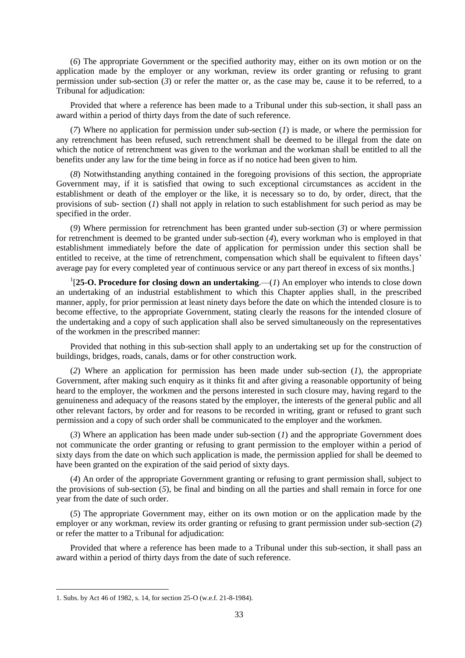(*6*) The appropriate Government or the specified authority may, either on its own motion or on the application made by the employer or any workman, review its order granting or refusing to grant permission under sub-section (*3*) or refer the matter or, as the case may be, cause it to be referred, to a Tribunal for adjudication:

Provided that where a reference has been made to a Tribunal under this sub-section, it shall pass an award within a period of thirty days from the date of such reference.

(*7*) Where no application for permission under sub-section (*1*) is made, or where the permission for any retrenchment has been refused, such retrenchment shall be deemed to be illegal from the date on which the notice of retrenchment was given to the workman and the workman shall be entitled to all the benefits under any law for the time being in force as if no notice had been given to him.

(*8*) Notwithstanding anything contained in the foregoing provisions of this section, the appropriate Government may, if it is satisfied that owing to such exceptional circumstances as accident in the establishment or death of the employer or the like, it is necessary so to do, by order, direct, that the provisions of sub- section (*1*) shall not apply in relation to such establishment for such period as may be specified in the order.

(*9*) Where permission for retrenchment has been granted under sub-section (*3*) or where permission for retrenchment is deemed to be granted under sub-section (*4*), every workman who is employed in that establishment immediately before the date of application for permission under this section shall be entitled to receive, at the time of retrenchment, compensation which shall be equivalent to fifteen days' average pay for every completed year of continuous service or any part thereof in excess of six months.]

<sup>1</sup>[25-O. Procedure for closing down an undertaking.—(*1*) An employer who intends to close down an undertaking of an industrial establishment to which this Chapter applies shall, in the prescribed manner, apply, for prior permission at least ninety days before the date on which the intended closure is to become effective, to the appropriate Government, stating clearly the reasons for the intended closure of the undertaking and a copy of such application shall also be served simultaneously on the representatives of the workmen in the prescribed manner:

Provided that nothing in this sub-section shall apply to an undertaking set up for the construction of buildings, bridges, roads, canals, dams or for other construction work.

(*2*) Where an application for permission has been made under sub-section (*1*), the appropriate Government, after making such enquiry as it thinks fit and after giving a reasonable opportunity of being heard to the employer, the workmen and the persons interested in such closure may, having regard to the genuineness and adequacy of the reasons stated by the employer, the interests of the general public and all other relevant factors, by order and for reasons to be recorded in writing, grant or refused to grant such permission and a copy of such order shall be communicated to the employer and the workmen.

(*3*) Where an application has been made under sub-section (*1*) and the appropriate Government does not communicate the order granting or refusing to grant permission to the employer within a period of sixty days from the date on which such application is made, the permission applied for shall be deemed to have been granted on the expiration of the said period of sixty days.

(*4*) An order of the appropriate Government granting or refusing to grant permission shall, subject to the provisions of sub-section (*5*), be final and binding on all the parties and shall remain in force for one year from the date of such order.

(*5*) The appropriate Government may, either on its own motion or on the application made by the employer or any workman, review its order granting or refusing to grant permission under sub-section (*2*) or refer the matter to a Tribunal for adjudication:

Provided that where a reference has been made to a Tribunal under this sub-section, it shall pass an award within a period of thirty days from the date of such reference.

<sup>1.</sup> Subs. by Act 46 of 1982, s. 14, for section 25-O (w.e.f. 21-8-1984).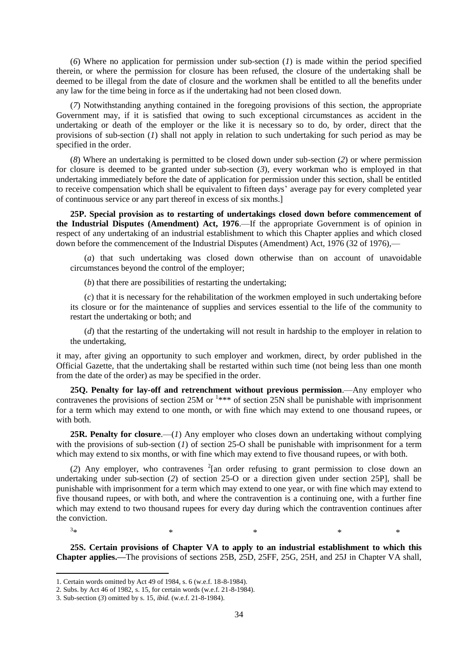(*6*) Where no application for permission under sub-section (*1*) is made within the period specified therein, or where the permission for closure has been refused, the closure of the undertaking shall be deemed to be illegal from the date of closure and the workmen shall be entitled to all the benefits under any law for the time being in force as if the undertaking had not been closed down.

(*7*) Notwithstanding anything contained in the foregoing provisions of this section, the appropriate Government may, if it is satisfied that owing to such exceptional circumstances as accident in the undertaking or death of the employer or the like it is necessary so to do, by order, direct that the provisions of sub-section (*1*) shall not apply in relation to such undertaking for such period as may be specified in the order.

(*8*) Where an undertaking is permitted to be closed down under sub-section (*2*) or where permission for closure is deemed to be granted under sub-section (*3*), every workman who is employed in that undertaking immediately before the date of application for permission under this section, shall be entitled to receive compensation which shall be equivalent to fifteen days' average pay for every completed year of continuous service or any part thereof in excess of six months.]

**25P. Special provision as to restarting of undertakings closed down before commencement of the Industrial Disputes (Amendment) Act, 1976**.—If the appropriate Government is of opinion in respect of any undertaking of an industrial establishment to which this Chapter applies and which closed down before the commencement of the Industrial Disputes (Amendment) Act, 1976 (32 of 1976),—

(*a*) that such undertaking was closed down otherwise than on account of unavoidable circumstances beyond the control of the employer;

(*b*) that there are possibilities of restarting the undertaking;

(*c*) that it is necessary for the rehabilitation of the workmen employed in such undertaking before its closure or for the maintenance of supplies and services essential to the life of the community to restart the undertaking or both; and

(*d*) that the restarting of the undertaking will not result in hardship to the employer in relation to the undertaking,

it may, after giving an opportunity to such employer and workmen, direct, by order published in the Official Gazette, that the undertaking shall be restarted within such time (not being less than one month from the date of the order) as may be specified in the order.

**25Q. Penalty for lay-off and retrenchment without previous permission**.—Any employer who contravenes the provisions of section 25M or  $1***$  of section 25N shall be punishable with imprisonment for a term which may extend to one month, or with fine which may extend to one thousand rupees, or with both.

**25R. Penalty for closure.**—(*1*) Any employer who closes down an undertaking without complying with the provisions of sub-section (*1*) of section 25-O shall be punishable with imprisonment for a term which may extend to six months, or with fine which may extend to five thousand rupees, or with both.

(2) Any employer, who contravenes  $2$ [an order refusing to grant permission to close down an undertaking under sub-section (*2*) of section 25-O or a direction given under section 25P], shall be punishable with imprisonment for a term which may extend to one year, or with fine which may extend to five thousand rupees, or with both, and where the contravention is a continuing one, with a further fine which may extend to two thousand rupees for every day during which the contravention continues after the conviction.

 $3*$  $*$   $*$   $*$   $*$   $*$   $*$ 

**.** 

**25S. Certain provisions of Chapter VA to apply to an industrial establishment to which this Chapter applies.—**The provisions of sections 25B, 25D, 25FF, 25G, 25H, and 25J in Chapter VA shall,

<sup>1.</sup> Certain words omitted by Act 49 of 1984, s. 6 (w.e.f. 18-8-1984).

<sup>2.</sup> Subs. by Act 46 of 1982, s. 15, for certain words (w.e.f. 21-8-1984).

<sup>3.</sup> Sub-section (*3*) omitted by s. 15, *ibid*. (w.e.f. 21-8-1984).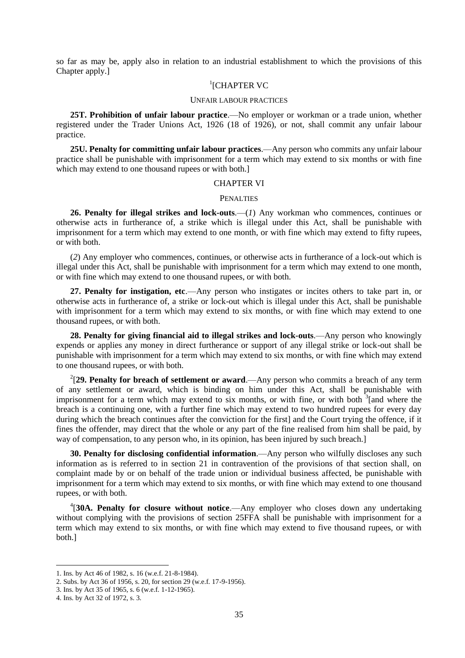so far as may be, apply also in relation to an industrial establishment to which the provisions of this Chapter apply.]

# <sup>1</sup>[CHAPTER VC

#### UNFAIR LABOUR PRACTICES

**25T. Prohibition of unfair labour practice**.—No employer or workman or a trade union, whether registered under the Trader Unions Act, 1926 (18 of 1926), or not, shall commit any unfair labour practice.

**25U. Penalty for committing unfair labour practices**.—Any person who commits any unfair labour practice shall be punishable with imprisonment for a term which may extend to six months or with fine which may extend to one thousand rupees or with both.

### CHAPTER VI

#### **PENALTIES**

**26. Penalty for illegal strikes and lock-outs**.—(*1*) Any workman who commences, continues or otherwise acts in furtherance of, a strike which is illegal under this Act, shall be punishable with imprisonment for a term which may extend to one month, or with fine which may extend to fifty rupees, or with both.

(*2*) Any employer who commences, continues, or otherwise acts in furtherance of a lock-out which is illegal under this Act, shall be punishable with imprisonment for a term which may extend to one month, or with fine which may extend to one thousand rupees, or with both.

**27. Penalty for instigation, etc**.—Any person who instigates or incites others to take part in, or otherwise acts in furtherance of, a strike or lock-out which is illegal under this Act, shall be punishable with imprisonment for a term which may extend to six months, or with fine which may extend to one thousand rupees, or with both.

**28. Penalty for giving financial aid to illegal strikes and lock-outs**.—Any person who knowingly expends or applies any money in direct furtherance or support of any illegal strike or lock-out shall be punishable with imprisonment for a term which may extend to six months, or with fine which may extend to one thousand rupees, or with both.

2 [**29. Penalty for breach of settlement or award**.—Any person who commits a breach of any term of any settlement or award, which is binding on him under this Act, shall be punishable with imprisonment for a term which may extend to six months, or with fine, or with both  $3$  [and where the breach is a continuing one, with a further fine which may extend to two hundred rupees for every day during which the breach continues after the conviction for the first] and the Court trying the offence, if it fines the offender, may direct that the whole or any part of the fine realised from him shall be paid, by way of compensation, to any person who, in its opinion, has been injured by such breach.]

**30. Penalty for disclosing confidential information**.—Any person who wilfully discloses any such information as is referred to in section 21 in contravention of the provisions of that section shall, on complaint made by or on behalf of the trade union or individual business affected, be punishable with imprisonment for a term which may extend to six months, or with fine which may extend to one thousand rupees, or with both.

4 [**30A. Penalty for closure without notice**.—Any employer who closes down any undertaking without complying with the provisions of section 25FFA shall be punishable with imprisonment for a term which may extend to six months, or with fine which may extend to five thousand rupees, or with both.]

<sup>1.</sup> Ins. by Act 46 of 1982, s. 16 (w.e.f. 21-8-1984).

<sup>2.</sup> Subs. by Act 36 of 1956, s. 20, for section 29 (w.e.f. 17-9-1956).

<sup>3.</sup> Ins. by Act 35 of 1965, s. 6 (w.e.f. 1-12-1965).

<sup>4.</sup> Ins. by Act 32 of 1972, s. 3.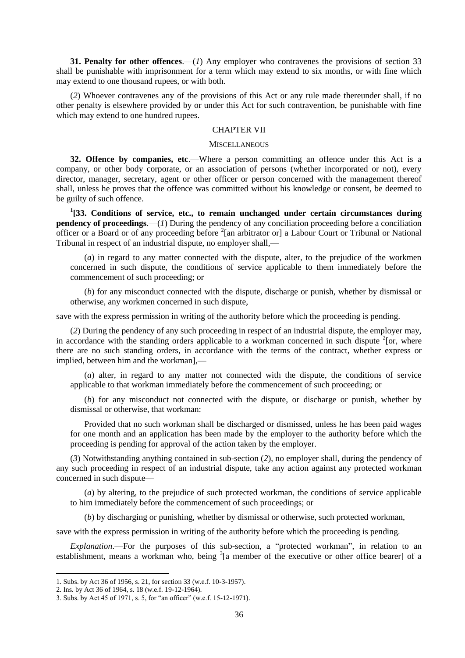**31. Penalty for other offences**.—(*1*) Any employer who contravenes the provisions of section 33 shall be punishable with imprisonment for a term which may extend to six months, or with fine which may extend to one thousand rupees, or with both.

(*2*) Whoever contravenes any of the provisions of this Act or any rule made thereunder shall, if no other penalty is elsewhere provided by or under this Act for such contravention, be punishable with fine which may extend to one hundred rupees.

### CHAPTER VII

#### **MISCELLANEOUS**

**32. Offence by companies, etc**.—Where a person committing an offence under this Act is a company, or other body corporate, or an association of persons (whether incorporated or not), every director, manager, secretary, agent or other officer or person concerned with the management thereof shall, unless he proves that the offence was committed without his knowledge or consent, be deemed to be guilty of such offence.

<sup>1</sup>[33. Conditions of service, etc., to remain unchanged under certain circumstances during **pendency of proceedings.—(***1***)** During the pendency of any conciliation proceeding before a conciliation officer or a Board or of any proceeding before <sup>2</sup>[an arbitrator or] a Labour Court or Tribunal or National Tribunal in respect of an industrial dispute, no employer shall,—

(*a*) in regard to any matter connected with the dispute, alter, to the prejudice of the workmen concerned in such dispute, the conditions of service applicable to them immediately before the commencement of such proceeding; or

(*b*) for any misconduct connected with the dispute, discharge or punish, whether by dismissal or otherwise, any workmen concerned in such dispute,

save with the express permission in writing of the authority before which the proceeding is pending.

(*2*) During the pendency of any such proceeding in respect of an industrial dispute, the employer may, in accordance with the standing orders applicable to a workman concerned in such dispute  $2$ [or, where there are no such standing orders, in accordance with the terms of the contract, whether express or implied, between him and the workman],—

(*a*) alter, in regard to any matter not connected with the dispute, the conditions of service applicable to that workman immediately before the commencement of such proceeding; or

(*b*) for any misconduct not connected with the dispute, or discharge or punish, whether by dismissal or otherwise, that workman:

Provided that no such workman shall be discharged or dismissed, unless he has been paid wages for one month and an application has been made by the employer to the authority before which the proceeding is pending for approval of the action taken by the employer.

(*3*) Notwithstanding anything contained in sub-section (*2*), no employer shall, during the pendency of any such proceeding in respect of an industrial dispute, take any action against any protected workman concerned in such dispute—

(*a*) by altering, to the prejudice of such protected workman, the conditions of service applicable to him immediately before the commencement of such proceedings; or

(*b*) by discharging or punishing, whether by dismissal or otherwise, such protected workman,

save with the express permission in writing of the authority before which the proceeding is pending.

*Explanation*.—For the purposes of this sub-section, a "protected workman", in relation to an establishment, means a workman who, being <sup>3</sup>[a member of the executive or other office bearer] of a

<sup>1.</sup> Subs. by Act 36 of 1956, s. 21, for section 33 (w.e.f. 10-3-1957).

<sup>2.</sup> Ins. by Act 36 of 1964, s. 18 (w.e.f. 19-12-1964).

<sup>3.</sup> Subs. by Act 45 of 1971, s. 5, for "an officer" (w.e.f. 15-12-1971).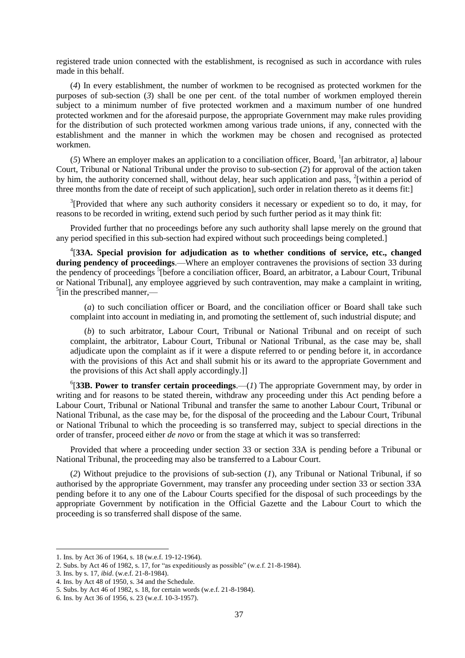registered trade union connected with the establishment, is recognised as such in accordance with rules made in this behalf.

(*4*) In every establishment, the number of workmen to be recognised as protected workmen for the purposes of sub-section (*3*) shall be one per cent. of the total number of workmen employed therein subject to a minimum number of five protected workmen and a maximum number of one hundred protected workmen and for the aforesaid purpose, the appropriate Government may make rules providing for the distribution of such protected workmen among various trade unions, if any, connected with the establishment and the manner in which the workmen may be chosen and recognised as protected workmen.

(5) Where an employer makes an application to a conciliation officer, Board,  $\frac{1}{2}$  [an arbitrator, a] labour Court, Tribunal or National Tribunal under the proviso to sub-section (*2*) for approval of the action taken by him, the authority concerned shall, without delay, hear such application and pass,  $\frac{1}{2}$  [within a period of three months from the date of receipt of such application], such order in relation thereto as it deems fit:]

<sup>3</sup>[Provided that where any such authority considers it necessary or expedient so to do, it may, for reasons to be recorded in writing, extend such period by such further period as it may think fit:

Provided further that no proceedings before any such authority shall lapse merely on the ground that any period specified in this sub-section had expired without such proceedings being completed.]

4 [**33A. Special provision for adjudication as to whether conditions of service, etc., changed during pendency of proceedings**.—Where an employer contravenes the provisions of section 33 during the pendency of proceedings <sup>5</sup>[before a conciliation officer, Board, an arbitrator, a Labour Court, Tribunal or National Tribunal], any employee aggrieved by such contravention, may make a camplaint in writing,  $<sup>5</sup>$ [in the prescribed manner,—</sup>

(*a*) to such conciliation officer or Board, and the conciliation officer or Board shall take such complaint into account in mediating in, and promoting the settlement of, such industrial dispute; and

(*b*) to such arbitrator, Labour Court, Tribunal or National Tribunal and on receipt of such complaint, the arbitrator, Labour Court, Tribunal or National Tribunal, as the case may be, shall adjudicate upon the complaint as if it were a dispute referred to or pending before it, in accordance with the provisions of this Act and shall submit his or its award to the appropriate Government and the provisions of this Act shall apply accordingly.]]

 $^{6}$ [33B. Power to transfer certain proceedings.—(1) The appropriate Government may, by order in writing and for reasons to be stated therein, withdraw any proceeding under this Act pending before a Labour Court, Tribunal or National Tribunal and transfer the same to another Labour Court, Tribunal or National Tribunal, as the case may be, for the disposal of the proceeding and the Labour Court, Tribunal or National Tribunal to which the proceeding is so transferred may, subject to special directions in the order of transfer, proceed either *de novo* or from the stage at which it was so transferred:

Provided that where a proceeding under section 33 or section 33A is pending before a Tribunal or National Tribunal, the proceeding may also be transferred to a Labour Court.

(*2*) Without prejudice to the provisions of sub-section (*1*), any Tribunal or National Tribunal, if so authorised by the appropriate Government, may transfer any proceeding under section 33 or section 33A pending before it to any one of the Labour Courts specified for the disposal of such proceedings by the appropriate Government by notification in the Official Gazette and the Labour Court to which the proceeding is so transferred shall dispose of the same.

<sup>1.</sup> Ins. by Act 36 of 1964, s. 18 (w.e.f. 19-12-1964).

<sup>2.</sup> Subs. by Act 46 of 1982, s. 17, for "as expeditiously as possible" (w.e.f. 21-8-1984).

<sup>3.</sup> Ins. by s. 17, *ibid*. (w.e.f. 21-8-1984).

<sup>4.</sup> Ins. by Act 48 of 1950, s. 34 and the Schedule.

<sup>5.</sup> Subs. by Act 46 of 1982, s. 18, for certain words (w.e.f. 21-8-1984).

<sup>6.</sup> Ins. by Act 36 of 1956, s. 23 (w.e.f. 10-3-1957).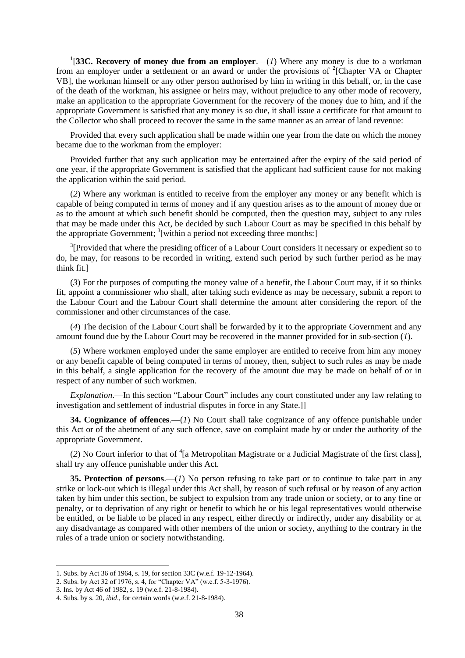<sup>1</sup>[33C. Recovery of money due from an employer.—(*1*) Where any money is due to a workman from an employer under a settlement or an award or under the provisions of <sup>2</sup>[Chapter VA or Chapter VB], the workman himself or any other person authorised by him in writing in this behalf, or, in the case of the death of the workman, his assignee or heirs may, without prejudice to any other mode of recovery, make an application to the appropriate Government for the recovery of the money due to him, and if the appropriate Government is satisfied that any money is so due, it shall issue a certificate for that amount to the Collector who shall proceed to recover the same in the same manner as an arrear of land revenue:

Provided that every such application shall be made within one year from the date on which the money became due to the workman from the employer:

Provided further that any such application may be entertained after the expiry of the said period of one year, if the appropriate Government is satisfied that the applicant had sufficient cause for not making the application within the said period.

(*2*) Where any workman is entitled to receive from the employer any money or any benefit which is capable of being computed in terms of money and if any question arises as to the amount of money due or as to the amount at which such benefit should be computed, then the question may, subject to any rules that may be made under this Act, be decided by such Labour Court as may be specified in this behalf by the appropriate Government;  $\frac{3}{7}$  [within a period not exceeding three months:]

<sup>3</sup>[Provided that where the presiding officer of a Labour Court considers it necessary or expedient so to do, he may, for reasons to be recorded in writing, extend such period by such further period as he may think fit.]

(*3*) For the purposes of computing the money value of a benefit, the Labour Court may, if it so thinks fit, appoint a commissioner who shall, after taking such evidence as may be necessary, submit a report to the Labour Court and the Labour Court shall determine the amount after considering the report of the commissioner and other circumstances of the case.

(*4*) The decision of the Labour Court shall be forwarded by it to the appropriate Government and any amount found due by the Labour Court may be recovered in the manner provided for in sub-section (*1*).

(*5*) Where workmen employed under the same employer are entitled to receive from him any money or any benefit capable of being computed in terms of money, then, subject to such rules as may be made in this behalf, a single application for the recovery of the amount due may be made on behalf of or in respect of any number of such workmen.

*Explanation*.—In this section "Labour Court" includes any court constituted under any law relating to investigation and settlement of industrial disputes in force in any State.]]

**34. Cognizance of offences**.—(*1*) No Court shall take cognizance of any offence punishable under this Act or of the abetment of any such offence, save on complaint made by or under the authority of the appropriate Government.

(2) No Court inferior to that of <sup>4</sup>[a Metropolitan Magistrate or a Judicial Magistrate of the first class], shall try any offence punishable under this Act.

**35. Protection of persons**.—(*1*) No person refusing to take part or to continue to take part in any strike or lock-out which is illegal under this Act shall, by reason of such refusal or by reason of any action taken by him under this section, be subject to expulsion from any trade union or society, or to any fine or penalty, or to deprivation of any right or benefit to which he or his legal representatives would otherwise be entitled, or be liable to be placed in any respect, either directly or indirectly, under any disability or at any disadvantage as compared with other members of the union or society, anything to the contrary in the rules of a trade union or society notwithstanding.

<sup>1.</sup> Subs. by Act 36 of 1964, s. 19, for section 33C (w.e.f. 19-12-1964).

<sup>2.</sup> Subs. by Act 32 of 1976, s. 4, for "Chapter VA" (w.e.f. 5-3-1976).

<sup>3.</sup> Ins. by Act 46 of 1982, s. 19 (w.e.f. 21-8-1984).

<sup>4.</sup> Subs. by s. 20, *ibid*., for certain words (w.e.f. 21-8-1984).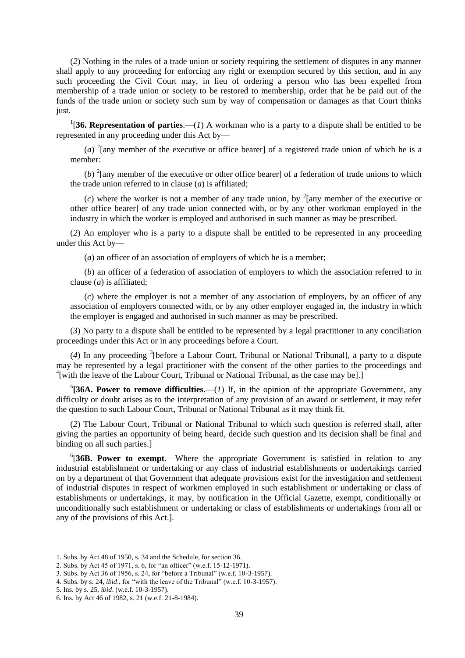(*2*) Nothing in the rules of a trade union or society requiring the settlement of disputes in any manner shall apply to any proceeding for enforcing any right or exemption secured by this section, and in any such proceeding the Civil Court may, in lieu of ordering a person who has been expelled from membership of a trade union or society to be restored to membership, order that he be paid out of the funds of the trade union or society such sum by way of compensation or damages as that Court thinks just.

<sup>1</sup>[36. Representation of parties.—(*1*) A workman who is a party to a dispute shall be entitled to be represented in any proceeding under this Act by—

(*a*)  $^{2}$ [any member of the executive or office bearer] of a registered trade union of which he is a member:

(b)  $^{2}$ [any member of the executive or other office bearer] of a federation of trade unions to which the trade union referred to in clause (*a*) is affiliated;

 $(c)$  where the worker is not a member of any trade union, by <sup>2</sup>[any member of the executive or other office bearer] of any trade union connected with, or by any other workman employed in the industry in which the worker is employed and authorised in such manner as may be prescribed.

(*2*) An employer who is a party to a dispute shall be entitled to be represented in any proceeding under this Act by—

(*a*) an officer of an association of employers of which he is a member;

(*b*) an officer of a federation of association of employers to which the association referred to in clause (*a*) is affiliated;

(*c*) where the employer is not a member of any association of employers, by an officer of any association of employers connected with, or by any other employer engaged in, the industry in which the employer is engaged and authorised in such manner as may be prescribed.

(*3*) No party to a dispute shall be entitled to be represented by a legal practitioner in any conciliation proceedings under this Act or in any proceedings before a Court.

(4) In any proceeding <sup>3</sup>[before a Labour Court, Tribunal or National Tribunal], a party to a dispute may be represented by a legal practitioner with the consent of the other parties to the proceedings and <sup>4</sup>[with the leave of the Labour Court, Tribunal or National Tribunal, as the case may be].]

 $5$ [36A. Power to remove difficulties.—(*1*) If, in the opinion of the appropriate Government, any difficulty or doubt arises as to the interpretation of any provision of an award or settlement, it may refer the question to such Labour Court, Tribunal or National Tribunal as it may think fit.

(*2*) The Labour Court, Tribunal or National Tribunal to which such question is referred shall, after giving the parties an opportunity of being heard, decide such question and its decision shall be final and binding on all such parties.]

6 [**36B. Power to exempt**.—Where the appropriate Government is satisfied in relation to any industrial establishment or undertaking or any class of industrial establishments or undertakings carried on by a department of that Government that adequate provisions exist for the investigation and settlement of industrial disputes in respect of workmen employed in such establishment or undertaking or class of establishments or undertakings, it may, by notification in the Official Gazette, exempt, conditionally or unconditionally such establishment or undertaking or class of establishments or undertakings from all or any of the provisions of this Act.].

<sup>1.</sup> Subs. by Act 48 of 1950, s. 34 and the Schedule, for section 36.

<sup>2.</sup> Subs. by Act 45 of 1971, s. 6, for "an officer" (w.e.f. 15-12-1971).

<sup>3.</sup> Subs. by Act 36 of 1956, s. 24, for "before a Tribunal" (w.e.f. 10-3-1957).

<sup>4.</sup> Subs. by s. 24, *ibid*., for "with the leave of the Tribunal" (w.e.f. 10-3-1957).

<sup>5.</sup> Ins. by s. 25, *ibid*. (w.e.f. 10-3-1957).

<sup>6.</sup> Ins. by Act 46 of 1982, s. 21 (w.e.f. 21-8-1984).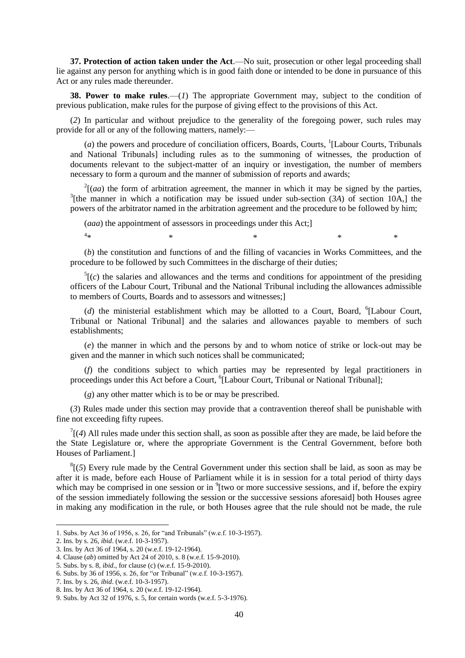**37. Protection of action taken under the Act**.—No suit, prosecution or other legal proceeding shall lie against any person for anything which is in good faith done or intended to be done in pursuance of this Act or any rules made thereunder.

**38. Power to make rules**.—(*1*) The appropriate Government may, subject to the condition of previous publication, make rules for the purpose of giving effect to the provisions of this Act.

(*2*) In particular and without prejudice to the generality of the foregoing power, such rules may provide for all or any of the following matters, namely:—

 $(a)$  the powers and procedure of conciliation officers, Boards, Courts, <sup>1</sup>[Labour Courts, Tribunals and National Tribunals] including rules as to the summoning of witnesses, the production of documents relevant to the subject-matter of an inquiry or investigation, the number of members necessary to form a quroum and the manner of submission of reports and awards;

 $2[(aa)$  the form of arbitration agreement, the manner in which it may be signed by the parties, <sup>3</sup>[the manner in which a notification may be issued under sub-section  $(3A)$  of section 10A,] the powers of the arbitrator named in the arbitration agreement and the procedure to be followed by him;

(*aaa*) the appointment of assessors in proceedings under this Act;]  $4*$  $*$   $*$   $*$   $*$   $*$ 

(*b*) the constitution and functions of and the filling of vacancies in Works Committees, and the procedure to be followed by such Committees in the discharge of their duties;

 $<sup>5</sup>[(c)$  the salaries and allowances and the terms and conditions for appointment of the presiding</sup> officers of the Labour Court, Tribunal and the National Tribunal including the allowances admissible to members of Courts, Boards and to assessors and witnesses;]

( $d$ ) the ministerial establishment which may be allotted to a Court, Board,  ${}^{6}$ [Labour Court, Tribunal or National Tribunal] and the salaries and allowances payable to members of such establishments;

(*e*) the manner in which and the persons by and to whom notice of strike or lock-out may be given and the manner in which such notices shall be communicated;

(*f*) the conditions subject to which parties may be represented by legal practitioners in proceedings under this Act before a Court, <sup>6</sup>[Labour Court, Tribunal or National Tribunal];

(*g*) any other matter which is to be or may be prescribed.

(*3*) Rules made under this section may provide that a contravention thereof shall be punishable with fine not exceeding fifty rupees.

 $T[(4)$  All rules made under this section shall, as soon as possible after they are made, be laid before the the State Legislature or, where the appropriate Government is the Central Government, before both Houses of Parliament.]

 ${}^{8}$ [(5) Every rule made by the Central Government under this section shall be laid, as soon as may be after it is made, before each House of Parliament while it is in session for a total period of thirty days which may be comprised in one session or in  $\frac{9}{2}$  [two or more successive sessions, and if, before the expiry of the session immediately following the session or the successive sessions aforesaid] both Houses agree in making any modification in the rule, or both Houses agree that the rule should not be made, the rule

<sup>1.</sup> Subs. by Act 36 of 1956, s. 26, for "and Tribunals" (w.e.f. 10-3-1957).

<sup>2.</sup> Ins. by s. 26, *ibid*. (w.e.f. 10-3-1957).

<sup>3.</sup> Ins. by Act 36 of 1964, s. 20 (w.e.f. 19-12-1964).

<sup>4.</sup> Clause (*ab*) omitted by Act 24 of 2010, s. 8 (w.e.f. 15-9-2010).

<sup>5.</sup> Subs. by s. 8, *ibid*., for clause (c) (w.e.f. 15-9-2010).

<sup>6.</sup> Subs. by 36 of 1956, s. 26, for "or Tribunal" (w.e.f. 10-3-1957).

<sup>7.</sup> Ins. by s. 26, *ibid*. (w.e.f. 10-3-1957).

<sup>8.</sup> Ins. by Act 36 of 1964, s. 20 (w.e.f. 19-12-1964).

<sup>9.</sup> Subs. by Act 32 of 1976, s. 5, for certain words (w.e.f. 5-3-1976).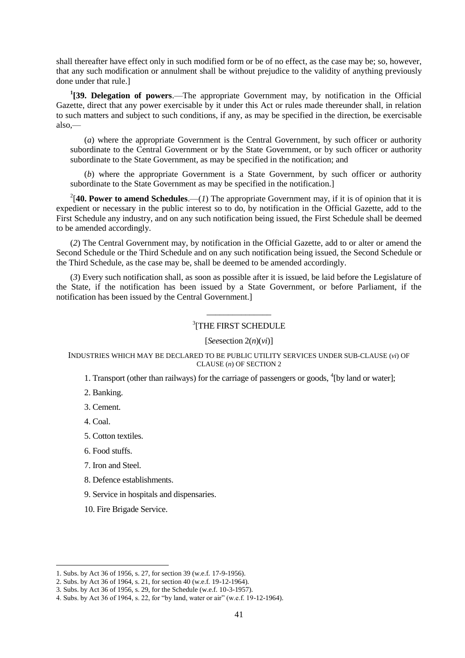shall thereafter have effect only in such modified form or be of no effect, as the case may be; so, however, that any such modification or annulment shall be without prejudice to the validity of anything previously done under that rule.]

**1 [39. Delegation of powers**.—The appropriate Government may, by notification in the Official Gazette, direct that any power exercisable by it under this Act or rules made thereunder shall, in relation to such matters and subject to such conditions, if any, as may be specified in the direction, be exercisable also,—

(*a*) where the appropriate Government is the Central Government, by such officer or authority subordinate to the Central Government or by the State Government, or by such officer or authority subordinate to the State Government, as may be specified in the notification; and

(*b*) where the appropriate Government is a State Government, by such officer or authority subordinate to the State Government as may be specified in the notification.]

<sup>2</sup>[40. Power to amend Schedules.—(*1*) The appropriate Government may, if it is of opinion that it is expedient or necessary in the public interest so to do, by notification in the Official Gazette, add to the First Schedule any industry, and on any such notification being issued, the First Schedule shall be deemed to be amended accordingly.

(*2*) The Central Government may, by notification in the Official Gazette, add to or alter or amend the Second Schedule or the Third Schedule and on any such notification being issued, the Second Schedule or the Third Schedule, as the case may be, shall be deemed to be amended accordingly.

(*3*) Every such notification shall, as soon as possible after it is issued, be laid before the Legislature of the State, if the notification has been issued by a State Government, or before Parliament, if the notification has been issued by the Central Government.]

# \_\_\_\_\_\_\_\_\_\_\_\_\_\_\_ <sup>3</sup>[THE FIRST SCHEDULE

### [*See*section 2(*n*)(*vi*)]

INDUSTRIES WHICH MAY BE DECLARED TO BE PUBLIC UTILITY SERVICES UNDER SUB-CLAUSE (*vi*) OF CLAUSE (*n*) OF SECTION 2

1. Transport (other than railways) for the carriage of passengers or goods, <sup>4</sup>[by land or water];

- 2. Banking.
- 3. Cement.
- 4. Coal.

- 5. Cotton textiles.
- 6. Food stuffs.
- 7. Iron and Steel.
- 8. Defence establishments.
- 9. Service in hospitals and dispensaries.
- 10. Fire Brigade Service.

<sup>1.</sup> Subs. by Act 36 of 1956, s. 27, for section 39 (w.e.f. 17-9-1956).

<sup>2.</sup> Subs. by Act 36 of 1964, s. 21, for section 40 (w.e.f. 19-12-1964).

<sup>3.</sup> Subs. by Act 36 of 1956, s. 29, for the Schedule (w.e.f. 10-3-1957).

<sup>4.</sup> Subs. by Act 36 of 1964, s. 22, for "by land, water or air" (w.e.f. 19-12-1964).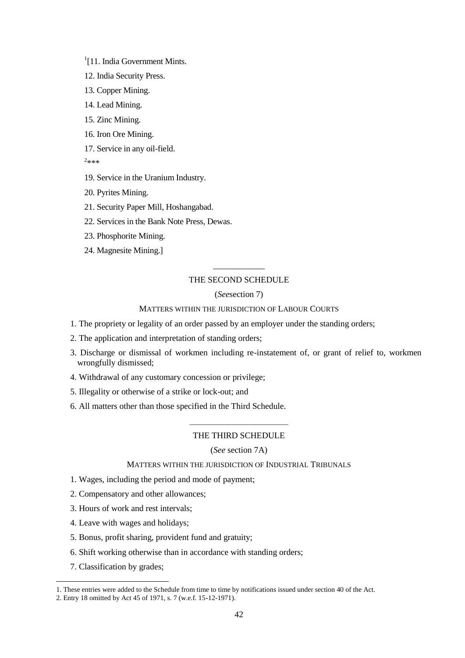- <sup>1</sup>[11. India Government Mints.
- 12. India Security Press.
- 13. Copper Mining.
- 14. Lead Mining.
- 15. Zinc Mining.
- 16. Iron Ore Mining.
- 17. Service in any oil-field.

2 \*\*\*

- 19. Service in the Uranium Industry.
- 20. Pyrites Mining.
- 21. Security Paper Mill, Hoshangabad.
- 22. Services in the Bank Note Press, Dewas.
- 23. Phosphorite Mining.
- 24. Magnesite Mining.]

# \_\_\_\_\_\_\_\_\_\_\_\_ THE SECOND SCHEDULE

## (*See*section 7)

### MATTERS WITHIN THE JURISDICTION OF LABOUR COURTS

- 1. The propriety or legality of an order passed by an employer under the standing orders;
- 2. The application and interpretation of standing orders;
- 3. Discharge or dismissal of workmen including re-instatement of, or grant of relief to, workmen wrongfully dismissed;
- 4. Withdrawal of any customary concession or privilege;
- 5. Illegality or otherwise of a strike or lock-out; and
- 6. All matters other than those specified in the Third Schedule.

# \_\_\_\_\_\_\_\_\_\_\_\_\_\_\_\_\_\_\_\_\_\_\_ THE THIRD SCHEDULE

# (*See* section 7A)

#### MATTERS WITHIN THE JURISDICTION OF INDUSTRIAL TRIBUNALS

- 1. Wages, including the period and mode of payment;
- 2. Compensatory and other allowances;
- 3. Hours of work and rest intervals;
- 4. Leave with wages and holidays;
- 5. Bonus, profit sharing, provident fund and gratuity;
- 6. Shift working otherwise than in accordance with standing orders;
- 7. Classification by grades;

<sup>1.</sup> These entries were added to the Schedule from time to time by notifications issued under section 40 of the Act.

<sup>2.</sup> Entry 18 omitted by Act 45 of 1971, s. 7 (w.e.f. 15-12-1971).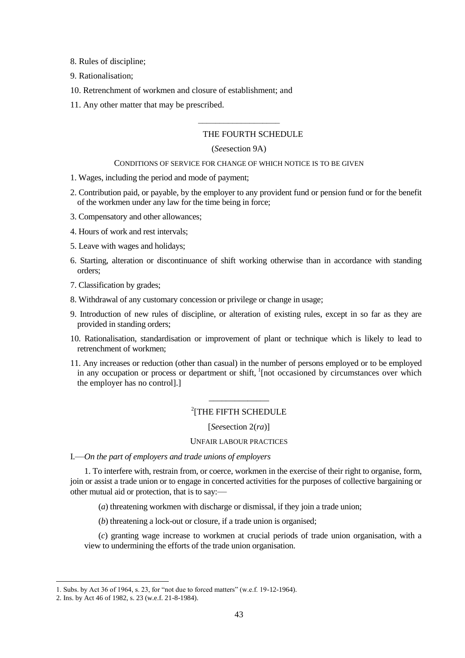8. Rules of discipline;

9. Rationalisation;

- 10. Retrenchment of workmen and closure of establishment; and
- 11. Any other matter that may be prescribed.

### THE FOURTH SCHEDULE

#### (*See*section 9A)

\_\_\_\_\_\_\_\_\_\_\_\_\_\_\_\_\_\_\_

### CONDITIONS OF SERVICE FOR CHANGE OF WHICH NOTICE IS TO BE GIVEN

- 1. Wages, including the period and mode of payment;
- 2. Contribution paid, or payable, by the employer to any provident fund or pension fund or for the benefit of the workmen under any law for the time being in force;
- 3. Compensatory and other allowances;
- 4. Hours of work and rest intervals;
- 5. Leave with wages and holidays;
- 6. Starting, alteration or discontinuance of shift working otherwise than in accordance with standing orders;
- 7. Classification by grades;
- 8. Withdrawal of any customary concession or privilege or change in usage;
- 9. Introduction of new rules of discipline, or alteration of existing rules, except in so far as they are provided in standing orders;
- 10. Rationalisation, standardisation or improvement of plant or technique which is likely to lead to retrenchment of workmen;
- 11. Any increases or reduction (other than casual) in the number of persons employed or to be employed in any occupation or process or department or shift, <sup>1</sup>[not occasioned by circumstances over which the employer has no control].]

# \_\_\_\_\_\_\_\_\_\_\_\_\_\_ 2 [THE FIFTH SCHEDULE

[*See*section 2(*ra*)]

## UNFAIR LABOUR PRACTICES

I.—*On the part of employers and trade unions of employers*

1. To interfere with, restrain from, or coerce, workmen in the exercise of their right to organise, form, join or assist a trade union or to engage in concerted activities for the purposes of collective bargaining or other mutual aid or protection, that is to say:—

(*a*) threatening workmen with discharge or dismissal, if they join a trade union;

(*b*) threatening a lock-out or closure, if a trade union is organised;

(*c*) granting wage increase to workmen at crucial periods of trade union organisation, with a view to undermining the efforts of the trade union organisation.

<sup>1.</sup> Subs. by Act 36 of 1964, s. 23, for "not due to forced matters" (w.e.f. 19-12-1964).

<sup>2.</sup> Ins. by Act 46 of 1982, s. 23 (w.e.f. 21-8-1984).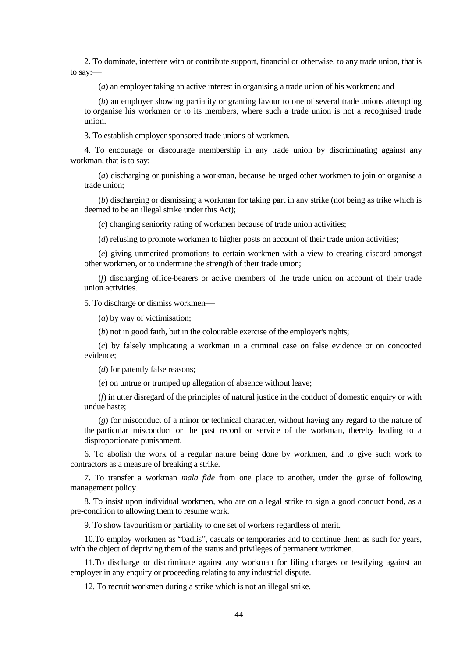2. To dominate, interfere with or contribute support, financial or otherwise, to any trade union, that is to say:—

(*a*) an employer taking an active interest in organising a trade union of his workmen; and

(*b*) an employer showing partiality or granting favour to one of several trade unions attempting to organise his workmen or to its members, where such a trade union is not a recognised trade union.

3. To establish employer sponsored trade unions of workmen.

4. To encourage or discourage membership in any trade union by discriminating against any workman, that is to say:—

(*a*) discharging or punishing a workman, because he urged other workmen to join or organise a trade union;

(*b*) discharging or dismissing a workman for taking part in any strike (not being as trike which is deemed to be an illegal strike under this Act);

(*c*) changing seniority rating of workmen because of trade union activities;

(*d*) refusing to promote workmen to higher posts on account of their trade union activities;

(*e*) giving unmerited promotions to certain workmen with a view to creating discord amongst other workmen, or to undermine the strength of their trade union;

(*f*) discharging office-bearers or active members of the trade union on account of their trade union activities.

5. To discharge or dismiss workmen—

(*a*) by way of victimisation;

(*b*) not in good faith, but in the colourable exercise of the employer's rights;

(*c*) by falsely implicating a workman in a criminal case on false evidence or on concocted evidence;

(*d*) for patently false reasons;

(*e*) on untrue or trumped up allegation of absence without leave;

(*f*) in utter disregard of the principles of natural justice in the conduct of domestic enquiry or with undue haste;

(*g*) for misconduct of a minor or technical character, without having any regard to the nature of the particular misconduct or the past record or service of the workman, thereby leading to a disproportionate punishment.

6. To abolish the work of a regular nature being done by workmen, and to give such work to contractors as a measure of breaking a strike.

7. To transfer a workman *mala fide* from one place to another, under the guise of following management policy.

8. To insist upon individual workmen, who are on a legal strike to sign a good conduct bond, as a pre-condition to allowing them to resume work.

9. To show favouritism or partiality to one set of workers regardless of merit.

10.To employ workmen as "badlis", casuals or temporaries and to continue them as such for years, with the object of depriving them of the status and privileges of permanent workmen.

11.To discharge or discriminate against any workman for filing charges or testifying against an employer in any enquiry or proceeding relating to any industrial dispute.

12. To recruit workmen during a strike which is not an illegal strike.